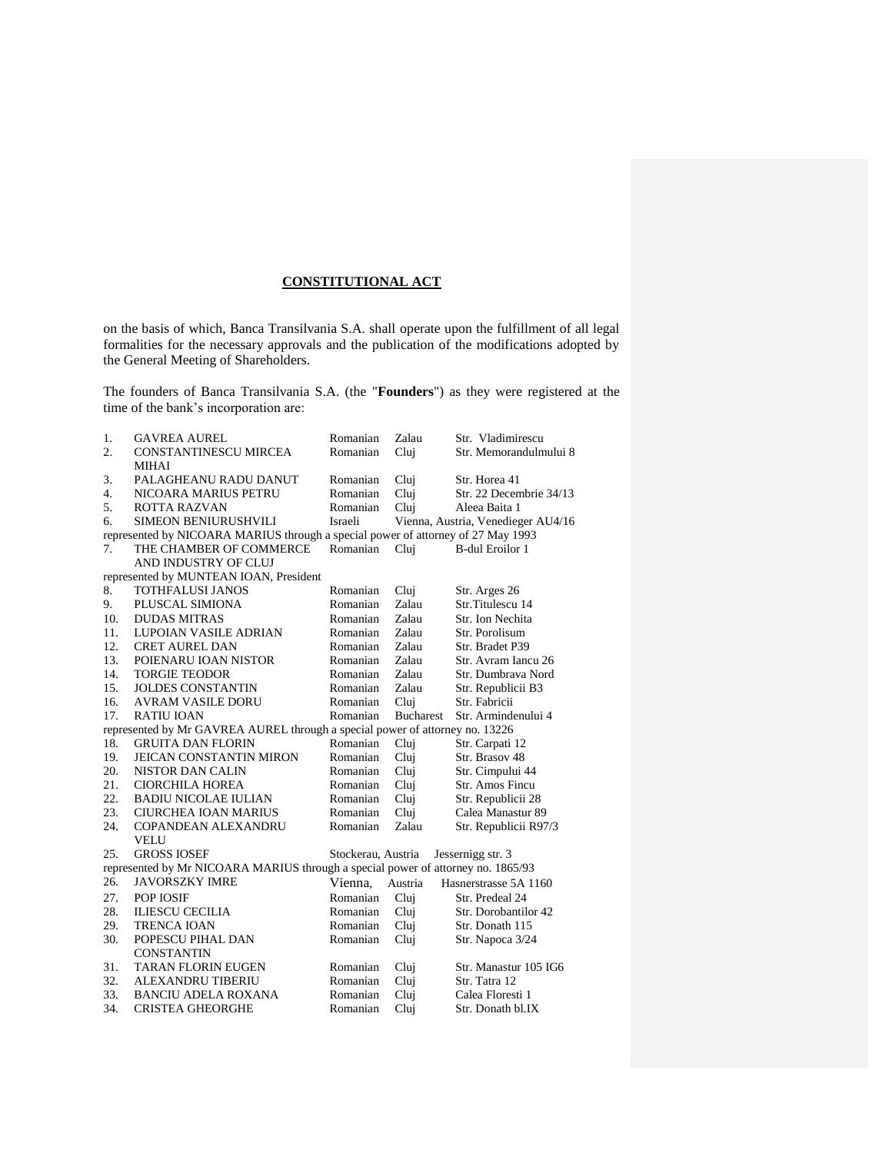# **CONSTITUTIONAL ACT**

on the basis of which, Banca Transilvania S.A. shall operate upon the fulfillment of all legal formalities for the necessary approvals and the publication of the modifications adopted by the General Meeting of Shareholders.

The founders of Banca Transilvania S.A. (the "**Founders**") as they were registered at the time of the bank's incorporation are:

| 1.  | <b>GAVREA AUREL</b>                                                              | Romanian           | Zalau            | Str. Vladimirescu                  |  |  |
|-----|----------------------------------------------------------------------------------|--------------------|------------------|------------------------------------|--|--|
| 2.  | <b>CONSTANTINESCU MIRCEA</b>                                                     | Romanian           | Clui             | Str. Memorandulmului 8             |  |  |
|     | <b>MIHAI</b>                                                                     |                    |                  |                                    |  |  |
| 3.  | PALAGHEANU RADU DANUT                                                            | Romanian           | Cluj             | Str. Horea 41                      |  |  |
| 4.  | NICOARA MARIUS PETRU                                                             | Romanian           | Clui             | Str. 22 Decembrie 34/13            |  |  |
| 5.  | <b>ROTTA RAZVAN</b>                                                              | Romanian           | Cluj             | Aleea Baita 1                      |  |  |
| 6.  | <b>SIMEON BENIURUSHVILI</b>                                                      | Israeli            |                  | Vienna, Austria, Venedieger AU4/16 |  |  |
|     | represented by NICOARA MARIUS through a special power of attorney of 27 May 1993 |                    |                  |                                    |  |  |
| 7.  | THE CHAMBER OF COMMERCE                                                          | Romanian           | Clui             | <b>B-dul Eroilor 1</b>             |  |  |
|     | AND INDUSTRY OF CLUJ                                                             |                    |                  |                                    |  |  |
|     | represented by MUNTEAN IOAN, President                                           |                    |                  |                                    |  |  |
| 8.  | TOTHFALUSI JANOS                                                                 | Romanian           | Cluj             | Str. Arges 26                      |  |  |
| 9.  | PLUSCAL SIMIONA                                                                  | Romanian           | Zalau            | Str.Titulescu 14                   |  |  |
| 10. | <b>DUDAS MITRAS</b>                                                              | Romanian           | Zalau            | Str. Ion Nechita                   |  |  |
| 11. | LUPOIAN VASILE ADRIAN                                                            | Romanian           | Zalau            | Str. Porolisum                     |  |  |
| 12. | <b>CRET AUREL DAN</b>                                                            | Romanian           | Zalau            | Str. Bradet P39                    |  |  |
| 13. | POIENARU IOAN NISTOR                                                             | Romanian           | Zalau            | Str. Avram Iancu 26                |  |  |
| 14. | <b>TORGIE TEODOR</b>                                                             | Romanian           | Zalau            | Str. Dumbrava Nord                 |  |  |
| 15. | <b>JOLDES CONSTANTIN</b>                                                         | Romanian           | Zalau            | Str. Republicii B3                 |  |  |
| 16. | <b>AVRAM VASILE DORU</b>                                                         | Romanian           | Clui             | Str. Fabricii                      |  |  |
| 17. | <b>RATIU IOAN</b>                                                                | Romanian           | <b>Bucharest</b> | Str. Armindenului 4                |  |  |
|     | represented by Mr GAVREA AUREL through a special power of attorney no. 13226     |                    |                  |                                    |  |  |
| 18. | <b>GRUITA DAN FLORIN</b>                                                         | Romanian           | Cluj             | Str. Carpati 12                    |  |  |
| 19. | <b>JEICAN CONSTANTIN MIRON</b>                                                   | Romanian           | Cluj             | Str. Brasov 48                     |  |  |
| 20. | NISTOR DAN CALIN                                                                 | Romanian           | Clui             | Str. Cimpului 44                   |  |  |
| 21. | <b>CIORCHILA HOREA</b>                                                           | Romanian           | Cluj             | Str. Amos Fincu                    |  |  |
| 22. | <b>BADIU NICOLAE IULIAN</b>                                                      | Romanian           | Cluj             | Str. Republicii 28                 |  |  |
| 23. | CIURCHEA IOAN MARIUS                                                             | Romanian           | Cluj             | Calea Manastur 89                  |  |  |
| 24. | COPANDEAN ALEXANDRU                                                              | Romanian           | Zalau            | Str. Republicii R97/3              |  |  |
|     | VELU                                                                             |                    |                  |                                    |  |  |
| 25. | <b>GROSS IOSEF</b>                                                               | Stockerau, Austria |                  | Jessernigg str. 3                  |  |  |
|     | represented by Mr NICOARA MARIUS through a special power of attorney no. 1865/93 |                    |                  |                                    |  |  |
| 26. | <b>JAVORSZKY IMRE</b>                                                            | Vienna,            | Austria          | Hasnerstrasse 5A 1160              |  |  |
| 27. | POP IOSIF                                                                        | Romanian           | Clui             | Str. Predeal 24                    |  |  |
| 28. | <b>ILIESCU CECILIA</b>                                                           | Romanian           | Cluj             | Str. Dorobantilor 42               |  |  |
| 29. | <b>TRENCA IOAN</b>                                                               | Romanian           | Cluj             | Str. Donath 115                    |  |  |
| 30. | POPESCU PIHAL DAN                                                                | Romanian           | Cluj             | Str. Napoca 3/24                   |  |  |
|     | <b>CONSTANTIN</b>                                                                |                    |                  |                                    |  |  |
| 31. | <b>TARAN FLORIN EUGEN</b>                                                        | Romanian           | Cluj             | Str. Manastur 105 IG6              |  |  |
| 32. | <b>ALEXANDRU TIBERIU</b>                                                         | Romanian           | Cluj             | Str. Tatra 12                      |  |  |
| 33. | <b>BANCIU ADELA ROXANA</b>                                                       | Romanian           | Cluj             | Calea Floresti 1                   |  |  |
| 34. | <b>CRISTEA GHEORGHE</b>                                                          | Romanian           | Clui             | Str. Donath bl.IX                  |  |  |
|     |                                                                                  |                    |                  |                                    |  |  |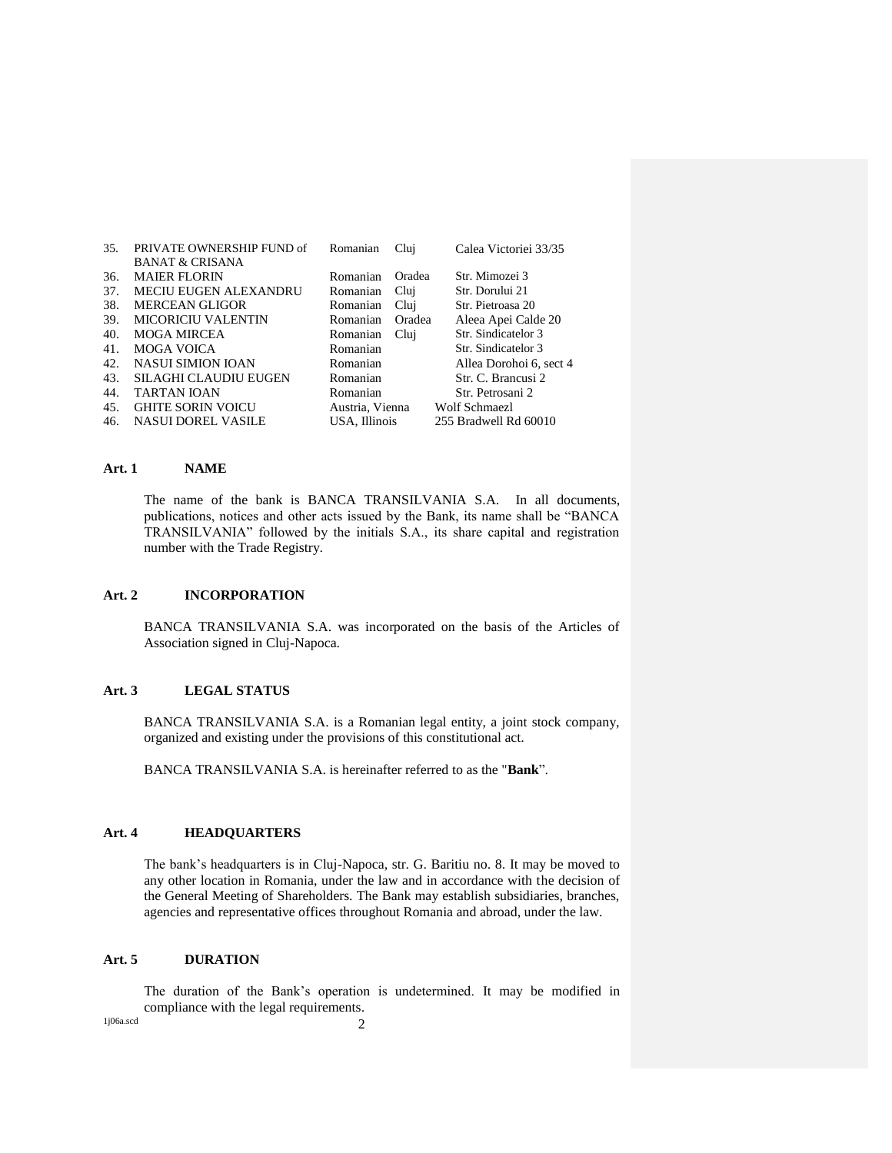| 35. | PRIVATE OWNERSHIP FUND of<br><b>BANAT &amp; CRISANA</b> | Romanian        | Clui   | Calea Victoriei 33/35   |
|-----|---------------------------------------------------------|-----------------|--------|-------------------------|
| 36. | <b>MAJER FLORIN</b>                                     | Romanian        | Oradea | Str. Mimozei 3          |
| 37. | MECIU EUGEN ALEXANDRU                                   | Romanian        | Clui   | Str. Dorului 21         |
| 38. | <b>MERCEAN GLIGOR</b>                                   | Romanian        | Clui   | Str. Pietroasa 20       |
| 39. | <b>MICORICIU VALENTIN</b>                               | Romanian        | Oradea | Aleea Apei Calde 20     |
| 40. | MOGA MIRCEA                                             | Romanian        | Clui   | Str. Sindicatelor 3     |
| 41. | MOGA VOICA                                              | Romanian        |        | Str. Sindicatelor 3     |
| 42. | <b>NASUI SIMION IOAN</b>                                | Romanian        |        | Allea Dorohoi 6, sect 4 |
| 43. | <b>SILAGHI CLAUDIU EUGEN</b>                            | Romanian        |        | Str. C. Brancusi 2      |
| 44. | <b>TARTAN IOAN</b>                                      | Romanian        |        | Str. Petrosani 2        |
| 45. | <b>GHITE SORIN VOICU</b>                                | Austria, Vienna |        | Wolf Schmaezl           |
| 46. | <b>NASUI DOREL VASILE</b>                               | USA. Illinois   |        | 255 Bradwell Rd 60010   |

#### **Art. 1 NAME**

The name of the bank is BANCA TRANSILVANIA S.A. In all documents, publications, notices and other acts issued by the Bank, its name shall be "BANCA TRANSILVANIA" followed by the initials S.A., its share capital and registration number with the Trade Registry.

#### **Art. 2 INCORPORATION**

BANCA TRANSILVANIA S.A. was incorporated on the basis of the Articles of Association signed in Cluj-Napoca.

## **Art. 3 LEGAL STATUS**

BANCA TRANSILVANIA S.A. is a Romanian legal entity, a joint stock company, organized and existing under the provisions of this constitutional act.

BANCA TRANSILVANIA S.A. is hereinafter referred to as the "**Bank**".

# **Art. 4 HEADQUARTERS**

The bank's headquarters is in Cluj-Napoca, str. G. Baritiu no. 8. It may be moved to any other location in Romania, under the law and in accordance with the decision of the General Meeting of Shareholders. The Bank may establish subsidiaries, branches, agencies and representative offices throughout Romania and abroad, under the law.

## **Art. 5 DURATION**

The duration of the Bank's operation is undetermined. It may be modified in compliance with the legal requirements.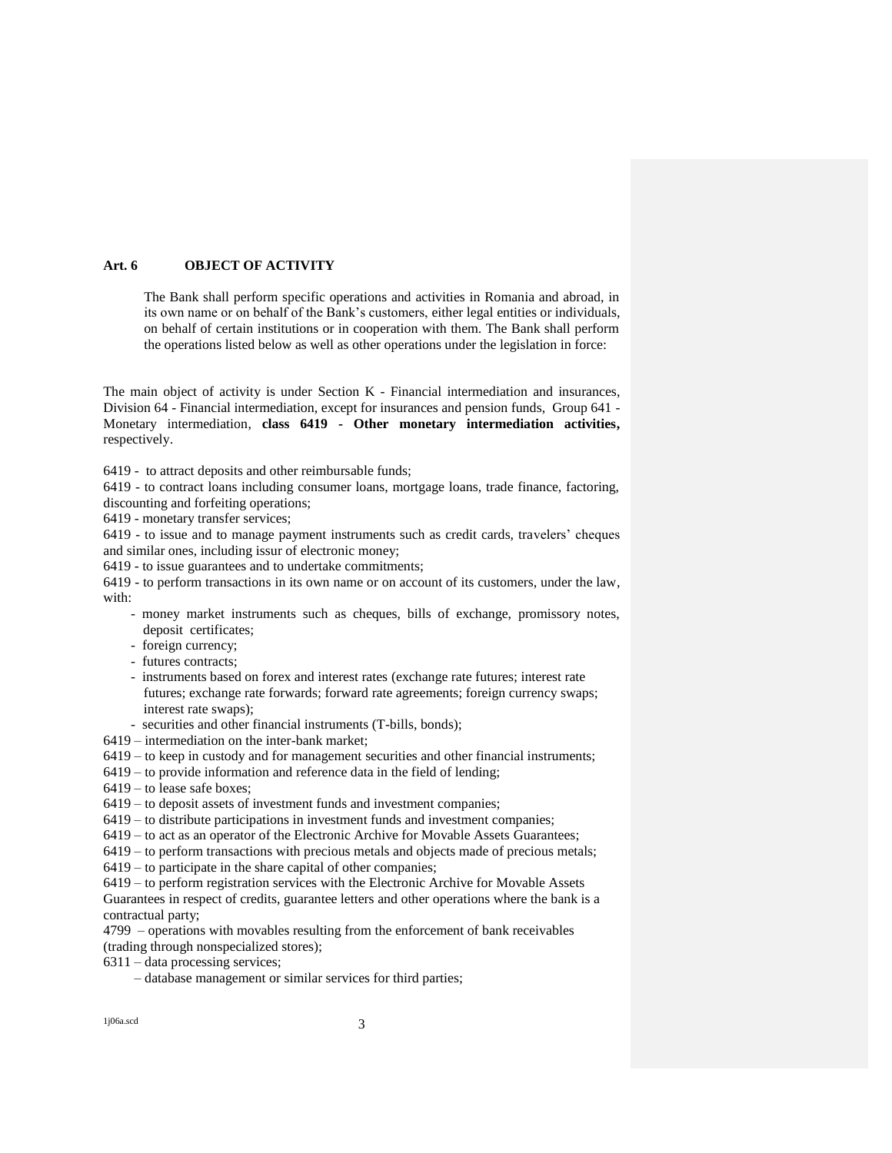## **Art. 6 OBJECT OF ACTIVITY**

The Bank shall perform specific operations and activities in Romania and abroad, in its own name or on behalf of the Bank's customers, either legal entities or individuals, on behalf of certain institutions or in cooperation with them. The Bank shall perform the operations listed below as well as other operations under the legislation in force:

The main object of activity is under Section K - Financial intermediation and insurances, Division 64 - Financial intermediation, except for insurances and pension funds, Group 641 - Monetary intermediation, **class 6419 - Other monetary intermediation activities,**  respectively.

6419 - to attract deposits and other reimbursable funds;

6419 - to contract loans including consumer loans, mortgage loans, trade finance, factoring, discounting and forfeiting operations;

6419 - monetary transfer services;

6419 - to issue and to manage payment instruments such as credit cards, travelers' cheques and similar ones, including issur of electronic money;

6419 - to issue guarantees and to undertake commitments;

6419 - to perform transactions in its own name or on account of its customers, under the law, with:

- money market instruments such as cheques, bills of exchange, promissory notes, deposit certificates;
- foreign currency;
- futures contracts;
- instruments based on forex and interest rates (exchange rate futures; interest rate futures; exchange rate forwards; forward rate agreements; foreign currency swaps; interest rate swaps):
- securities and other financial instruments (T-bills, bonds);
- 6419 intermediation on the inter-bank market;
- 6419 to keep in custody and for management securities and other financial instruments;
- 6419 to provide information and reference data in the field of lending;
- 6419 to lease safe boxes;

6419 – to deposit assets of investment funds and investment companies;

6419 – to distribute participations in investment funds and investment companies;

6419 – to act as an operator of the Electronic Archive for Movable Assets Guarantees;

6419 – to perform transactions with precious metals and objects made of precious metals;

6419 – to participate in the share capital of other companies;

6419 – to perform registration services with the Electronic Archive for Movable Assets Guarantees in respect of credits, guarantee letters and other operations where the bank is a contractual party;

4799 – operations with movables resulting from the enforcement of bank receivables (trading through nonspecialized stores);

- 6311 data processing services;
	- database management or similar services for third parties;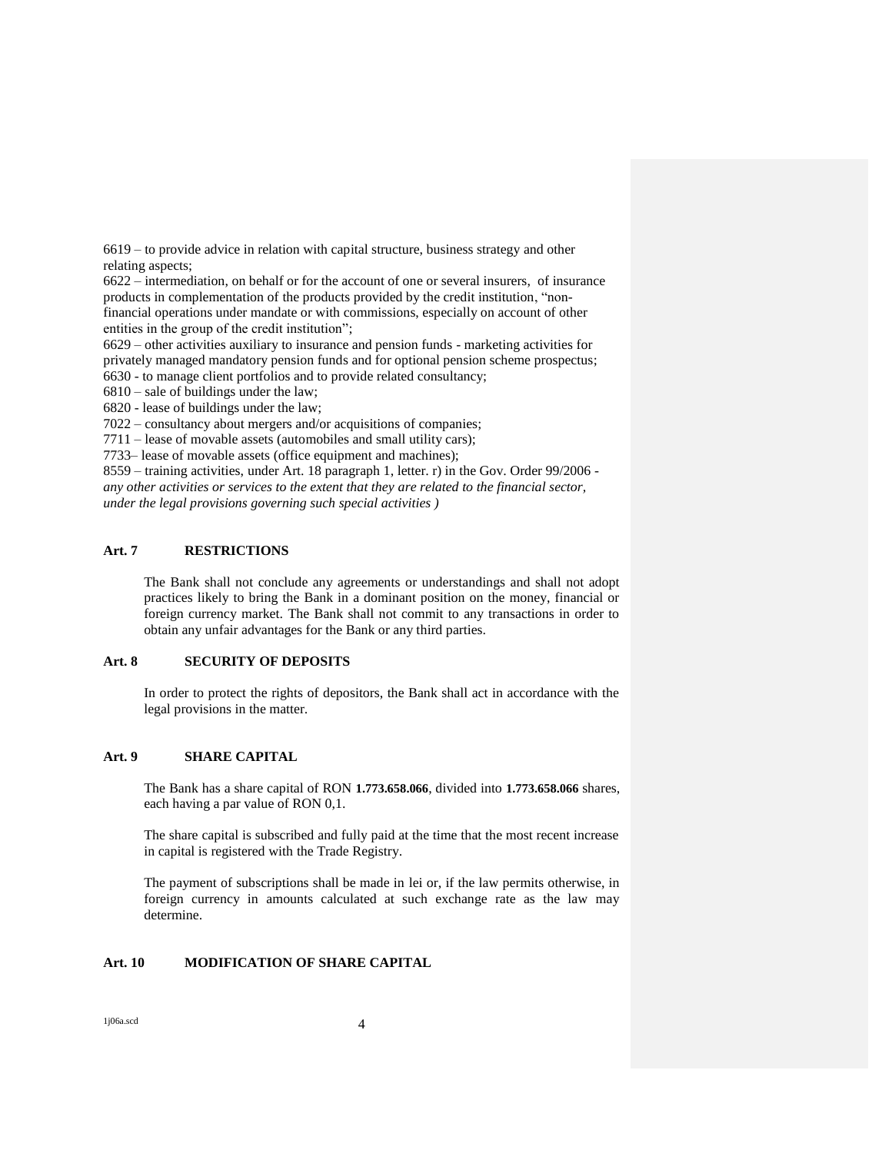6619 – to provide advice in relation with capital structure, business strategy and other relating aspects;

6622 – intermediation, on behalf or for the account of one or several insurers, of insurance products in complementation of the products provided by the credit institution, "nonfinancial operations under mandate or with commissions, especially on account of other entities in the group of the credit institution";

6629 – other activities auxiliary to insurance and pension funds - marketing activities for privately managed mandatory pension funds and for optional pension scheme prospectus; 6630 - to manage client portfolios and to provide related consultancy;

6810 – sale of buildings under the law;

6820 - lease of buildings under the law;

7022 – consultancy about mergers and/or acquisitions of companies;

7711 – lease of movable assets (automobiles and small utility cars);

7733– lease of movable assets (office equipment and machines);

8559 – training activities, under Art. 18 paragraph 1, letter. r) in the Gov. Order 99/2006 *any other activities or services to the extent that they are related to the financial sector, under the legal provisions governing such special activities )*

## **Art. 7 RESTRICTIONS**

The Bank shall not conclude any agreements or understandings and shall not adopt practices likely to bring the Bank in a dominant position on the money, financial or foreign currency market. The Bank shall not commit to any transactions in order to obtain any unfair advantages for the Bank or any third parties.

### **Art. 8 SECURITY OF DEPOSITS**

In order to protect the rights of depositors, the Bank shall act in accordance with the legal provisions in the matter.

### **Art. 9 SHARE CAPITAL**

The Bank has a share capital of RON **1.773.658.066**, divided into **1.773.658.066** shares, each having a par value of RON 0,1.

The share capital is subscribed and fully paid at the time that the most recent increase in capital is registered with the Trade Registry.

The payment of subscriptions shall be made in lei or, if the law permits otherwise, in foreign currency in amounts calculated at such exchange rate as the law may determine.

## **Art. 10 MODIFICATION OF SHARE CAPITAL**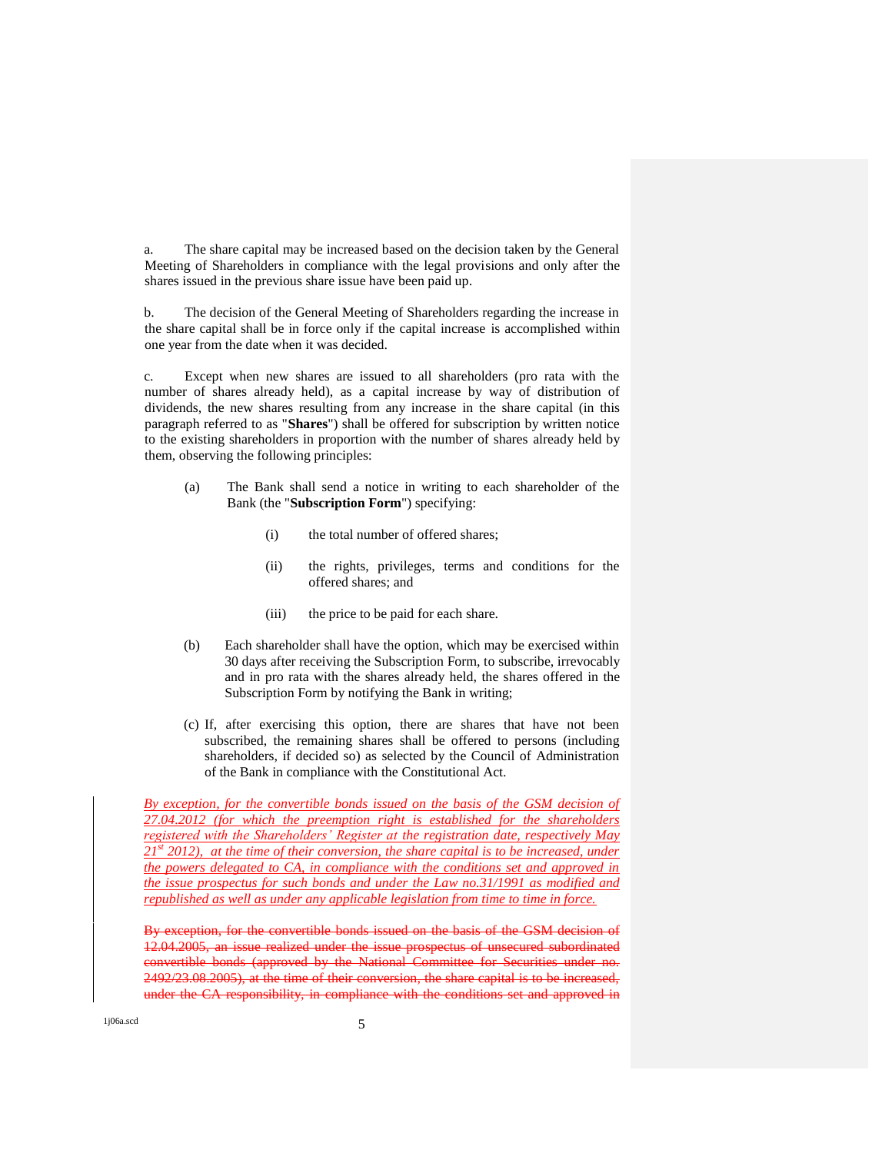a. The share capital may be increased based on the decision taken by the General Meeting of Shareholders in compliance with the legal provisions and only after the shares issued in the previous share issue have been paid up.

b. The decision of the General Meeting of Shareholders regarding the increase in the share capital shall be in force only if the capital increase is accomplished within one year from the date when it was decided.

c. Except when new shares are issued to all shareholders (pro rata with the number of shares already held), as a capital increase by way of distribution of dividends, the new shares resulting from any increase in the share capital (in this paragraph referred to as "**Shares**") shall be offered for subscription by written notice to the existing shareholders in proportion with the number of shares already held by them, observing the following principles:

- (a) The Bank shall send a notice in writing to each shareholder of the Bank (the "**Subscription Form**") specifying:
	- (i) the total number of offered shares;
	- (ii) the rights, privileges, terms and conditions for the offered shares; and
	- (iii) the price to be paid for each share.
- (b) Each shareholder shall have the option, which may be exercised within 30 days after receiving the Subscription Form, to subscribe, irrevocably and in pro rata with the shares already held, the shares offered in the Subscription Form by notifying the Bank in writing;
- (c) If, after exercising this option, there are shares that have not been subscribed, the remaining shares shall be offered to persons (including shareholders, if decided so) as selected by the Council of Administration of the Bank in compliance with the Constitutional Act.

*By exception, for the convertible bonds issued on the basis of the GSM decision of 27.04.2012 (for which the preemption right is established for the shareholders registered with the Shareholders' Register at the registration date, respectively May 21st 2012), at the time of their conversion, the share capital is to be increased, under the powers delegated to CA, in compliance with the conditions set and approved in the issue prospectus for such bonds and under the Law no.31/1991 as modified and republished as well as under any applicable legislation from time to time in force.* 

exception, for the convertible bonds issued on the basis of the GSM decision 12.04.2005, an issue realized under the issue prospectus of unsecured subordinated convertible bonds (approved by the National Committee for Securities under 2492/23.08.2005), at the time of their conversion, the share capital is to be increa under the CA responsibility, in compliance with the conditions set and approved in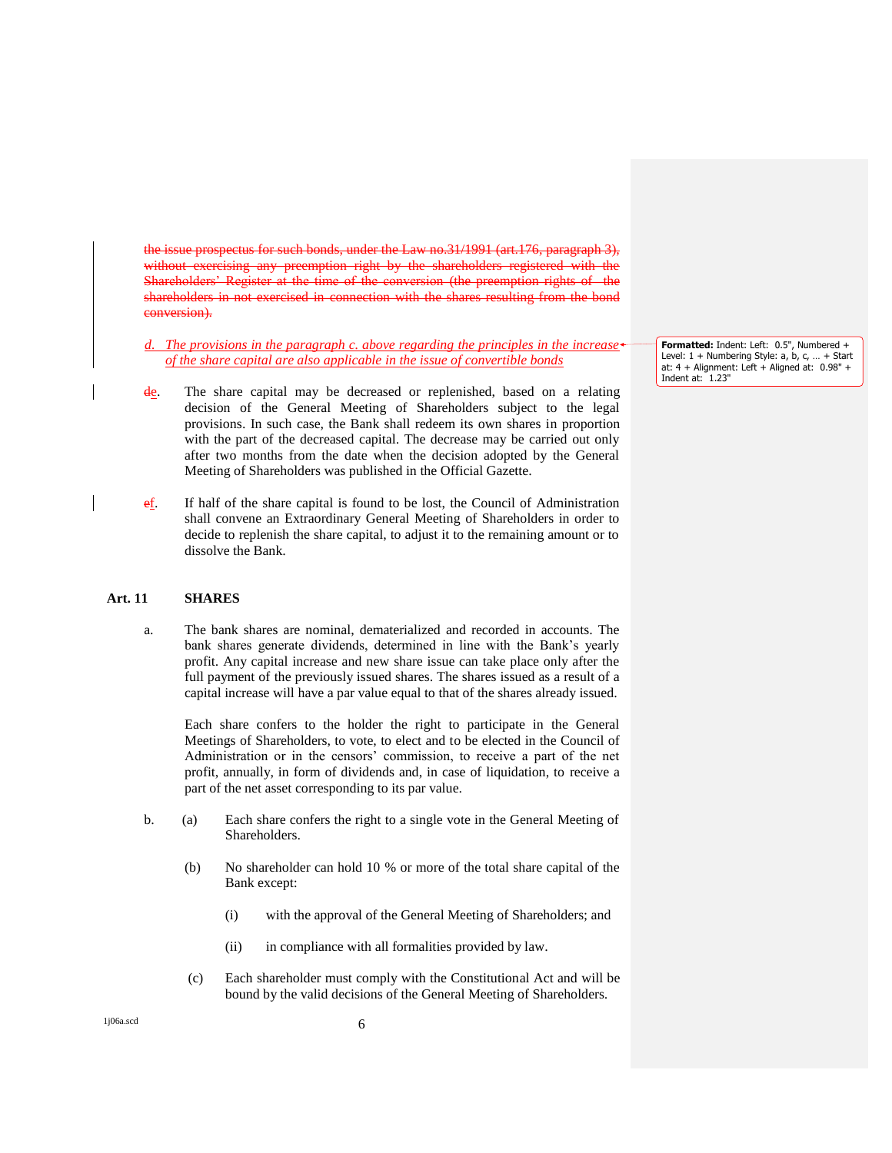the issue prospectus for such bonds, under the Law no.31/1991 (art.176, paragraph 3), without exercising any preemption right by the shareholders registered with the Shareholders' Register at the time of the conversion shareholders conversion).

*The provisions in the paragraph c. above regarding the principles in the increase of the share capital are also applicable in the issue of convertible bonds*

- de. The share capital may be decreased or replenished, based on a relating decision of the General Meeting of Shareholders subject to the legal provisions. In such case, the Bank shall redeem its own shares in proportion with the part of the decreased capital. The decrease may be carried out only after two months from the date when the decision adopted by the General Meeting of Shareholders was published in the Official Gazette.
- ef. If half of the share capital is found to be lost, the Council of Administration shall convene an Extraordinary General Meeting of Shareholders in order to decide to replenish the share capital, to adjust it to the remaining amount or to dissolve the Bank.

#### **Art. 11 SHARES**

a. The bank shares are nominal, dematerialized and recorded in accounts. The bank shares generate dividends, determined in line with the Bank's yearly profit. Any capital increase and new share issue can take place only after the full payment of the previously issued shares. The shares issued as a result of a capital increase will have a par value equal to that of the shares already issued.

Each share confers to the holder the right to participate in the General Meetings of Shareholders, to vote, to elect and to be elected in the Council of Administration or in the censors' commission, to receive a part of the net profit, annually, in form of dividends and, in case of liquidation, to receive a part of the net asset corresponding to its par value.

- b. (a) Each share confers the right to a single vote in the General Meeting of Shareholders.
	- (b) No shareholder can hold 10 % or more of the total share capital of the Bank except:
		- (i) with the approval of the General Meeting of Shareholders; and
		- (ii) in compliance with all formalities provided by law.
	- (c) Each shareholder must comply with the Constitutional Act and will be bound by the valid decisions of the General Meeting of Shareholders.

**Formatted:** Indent: Left: 0.5", Numbered + Level:  $1 +$  Numbering Style: a, b, c, ... + Start at: 4 + Alignment: Left + Aligned at: 0.98" + Indent at: 1.23"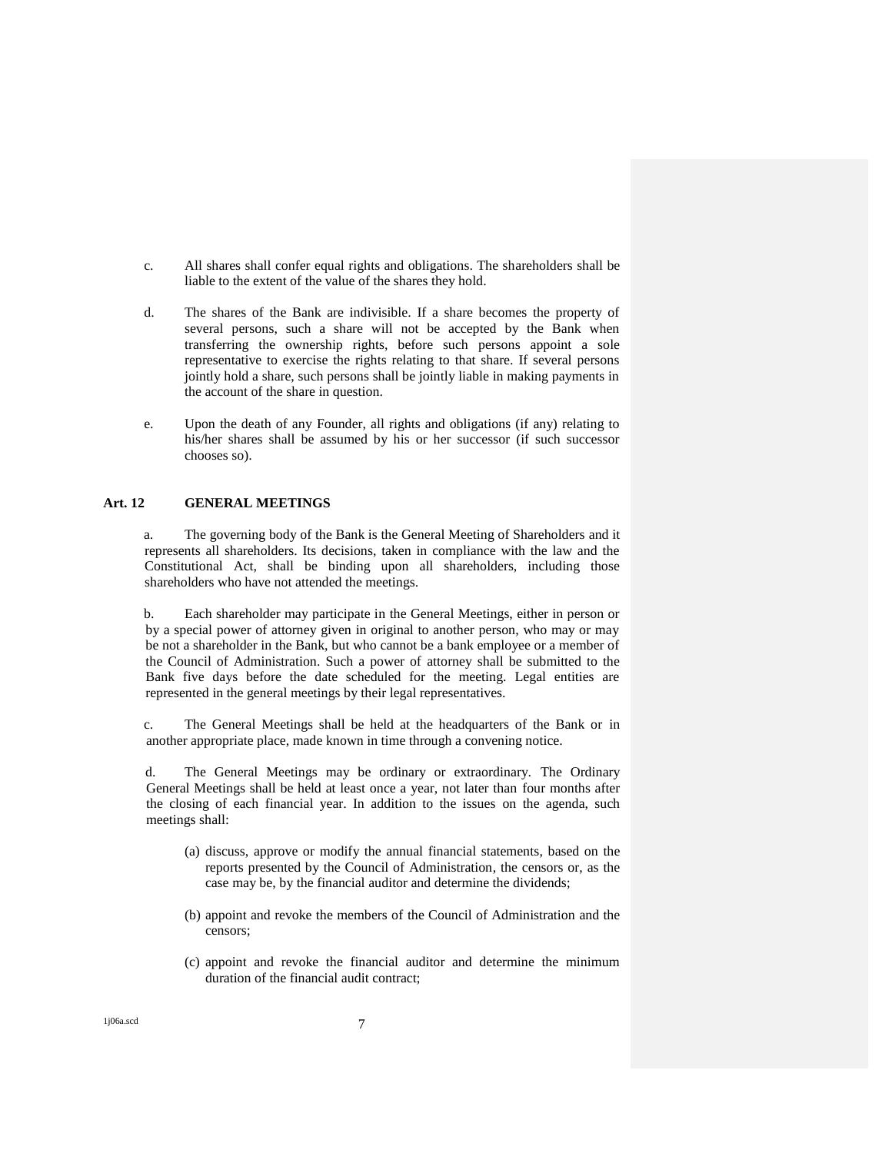- c. All shares shall confer equal rights and obligations. The shareholders shall be liable to the extent of the value of the shares they hold.
- d. The shares of the Bank are indivisible. If a share becomes the property of several persons, such a share will not be accepted by the Bank when transferring the ownership rights, before such persons appoint a sole representative to exercise the rights relating to that share. If several persons jointly hold a share, such persons shall be jointly liable in making payments in the account of the share in question.
- e. Upon the death of any Founder, all rights and obligations (if any) relating to his/her shares shall be assumed by his or her successor (if such successor chooses so).

### **Art. 12 GENERAL MEETINGS**

a. The governing body of the Bank is the General Meeting of Shareholders and it represents all shareholders. Its decisions, taken in compliance with the law and the Constitutional Act, shall be binding upon all shareholders, including those shareholders who have not attended the meetings.

b. Each shareholder may participate in the General Meetings, either in person or by a special power of attorney given in original to another person, who may or may be not a shareholder in the Bank, but who cannot be a bank employee or a member of the Council of Administration. Such a power of attorney shall be submitted to the Bank five days before the date scheduled for the meeting. Legal entities are represented in the general meetings by their legal representatives.

c. The General Meetings shall be held at the headquarters of the Bank or in another appropriate place, made known in time through a convening notice.

d. The General Meetings may be ordinary or extraordinary. The Ordinary General Meetings shall be held at least once a year, not later than four months after the closing of each financial year. In addition to the issues on the agenda, such meetings shall:

- (a) discuss, approve or modify the annual financial statements, based on the reports presented by the Council of Administration, the censors or, as the case may be, by the financial auditor and determine the dividends;
- (b) appoint and revoke the members of the Council of Administration and the censors;
- (c) appoint and revoke the financial auditor and determine the minimum duration of the financial audit contract;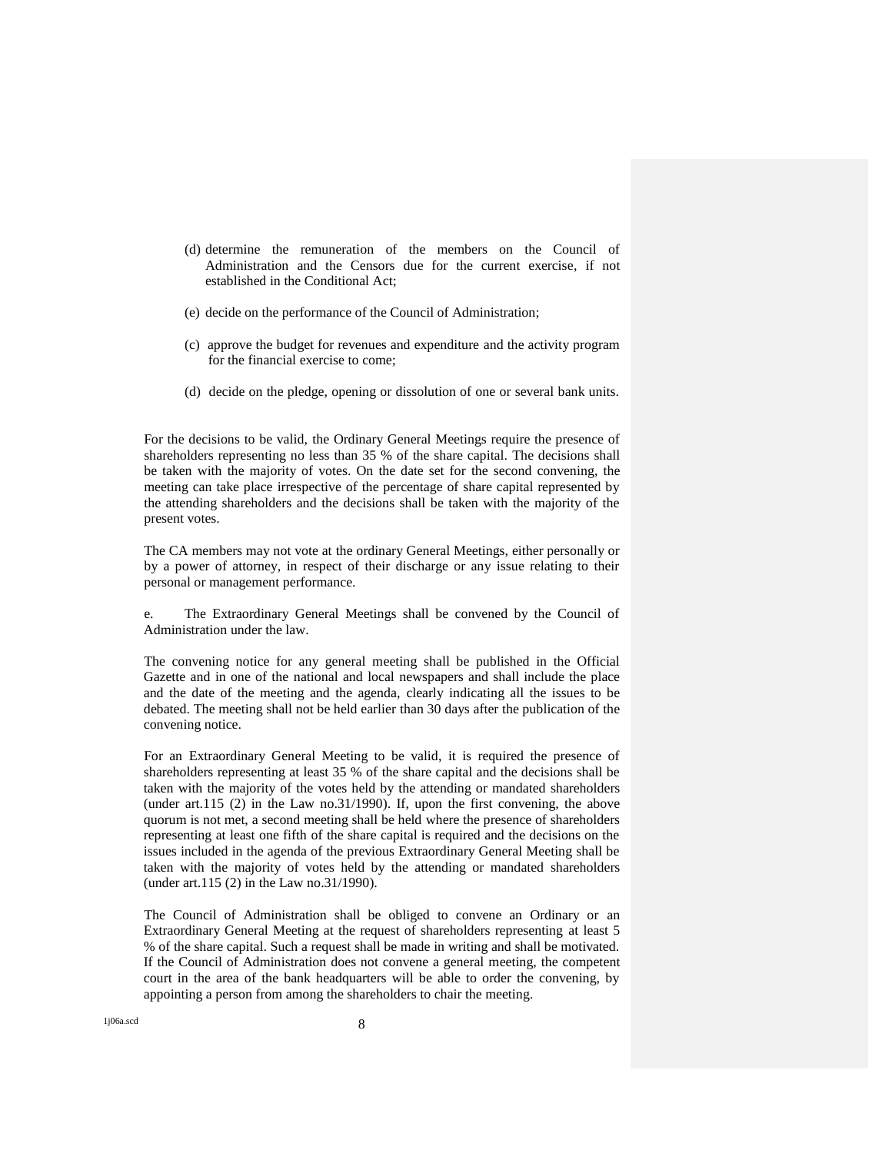- (d) determine the remuneration of the members on the Council of Administration and the Censors due for the current exercise, if not established in the Conditional Act;
- (e) decide on the performance of the Council of Administration;
- (c) approve the budget for revenues and expenditure and the activity program for the financial exercise to come;
- (d) decide on the pledge, opening or dissolution of one or several bank units.

For the decisions to be valid, the Ordinary General Meetings require the presence of shareholders representing no less than 35 % of the share capital. The decisions shall be taken with the majority of votes. On the date set for the second convening, the meeting can take place irrespective of the percentage of share capital represented by the attending shareholders and the decisions shall be taken with the majority of the present votes.

The CA members may not vote at the ordinary General Meetings, either personally or by a power of attorney, in respect of their discharge or any issue relating to their personal or management performance.

e. The Extraordinary General Meetings shall be convened by the Council of Administration under the law.

The convening notice for any general meeting shall be published in the Official Gazette and in one of the national and local newspapers and shall include the place and the date of the meeting and the agenda, clearly indicating all the issues to be debated. The meeting shall not be held earlier than 30 days after the publication of the convening notice.

For an Extraordinary General Meeting to be valid, it is required the presence of shareholders representing at least 35 % of the share capital and the decisions shall be taken with the majority of the votes held by the attending or mandated shareholders (under art.115 (2) in the Law no.31/1990). If, upon the first convening, the above quorum is not met, a second meeting shall be held where the presence of shareholders representing at least one fifth of the share capital is required and the decisions on the issues included in the agenda of the previous Extraordinary General Meeting shall be taken with the majority of votes held by the attending or mandated shareholders (under art.115 (2) in the Law no.31/1990).

The Council of Administration shall be obliged to convene an Ordinary or an Extraordinary General Meeting at the request of shareholders representing at least 5 % of the share capital. Such a request shall be made in writing and shall be motivated. If the Council of Administration does not convene a general meeting, the competent court in the area of the bank headquarters will be able to order the convening, by appointing a person from among the shareholders to chair the meeting.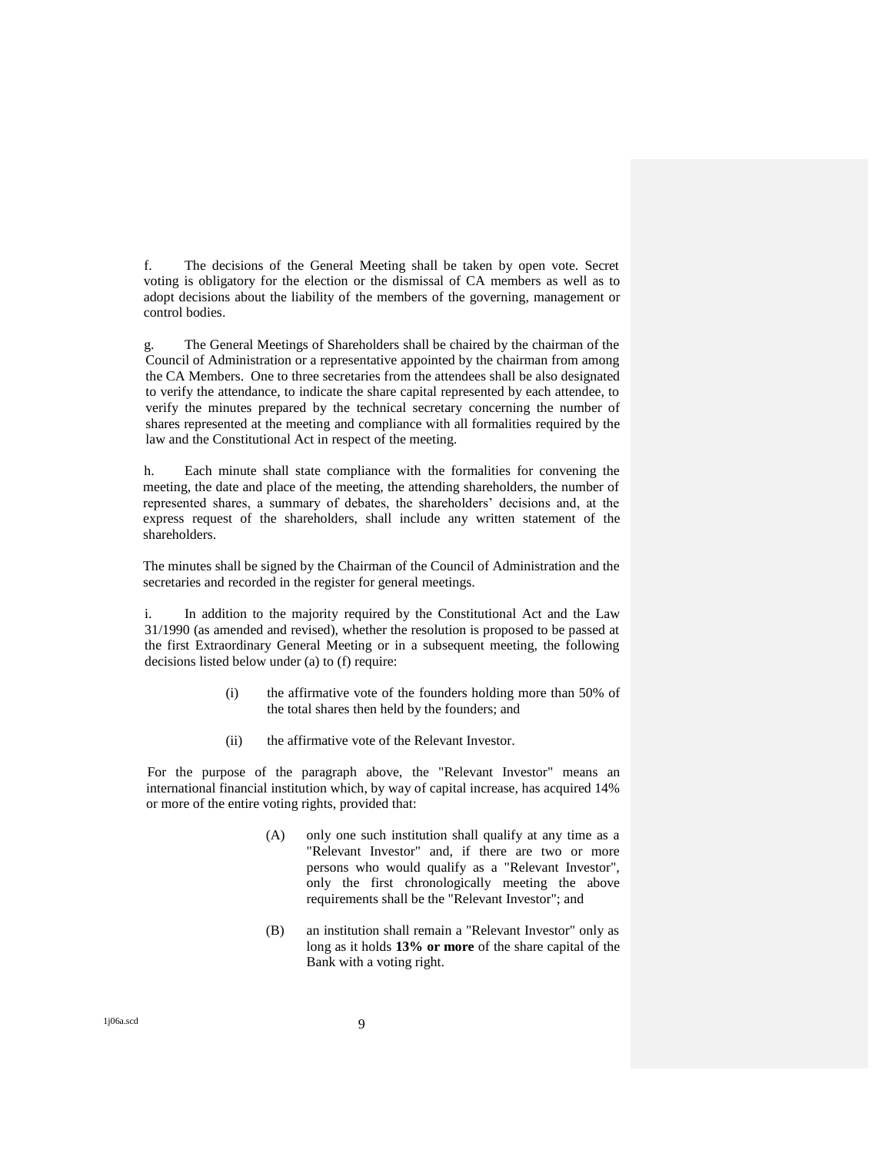f. The decisions of the General Meeting shall be taken by open vote. Secret voting is obligatory for the election or the dismissal of CA members as well as to adopt decisions about the liability of the members of the governing, management or control bodies.

g. The General Meetings of Shareholders shall be chaired by the chairman of the Council of Administration or a representative appointed by the chairman from among the CA Members. One to three secretaries from the attendees shall be also designated to verify the attendance, to indicate the share capital represented by each attendee, to verify the minutes prepared by the technical secretary concerning the number of shares represented at the meeting and compliance with all formalities required by the law and the Constitutional Act in respect of the meeting.

h. Each minute shall state compliance with the formalities for convening the meeting, the date and place of the meeting, the attending shareholders, the number of represented shares, a summary of debates, the shareholders' decisions and, at the express request of the shareholders, shall include any written statement of the shareholders.

The minutes shall be signed by the Chairman of the Council of Administration and the secretaries and recorded in the register for general meetings.

i. In addition to the majority required by the Constitutional Act and the Law 31/1990 (as amended and revised), whether the resolution is proposed to be passed at the first Extraordinary General Meeting or in a subsequent meeting, the following decisions listed below under (a) to (f) require:

- (i) the affirmative vote of the founders holding more than 50% of the total shares then held by the founders; and
- (ii) the affirmative vote of the Relevant Investor.

For the purpose of the paragraph above, the "Relevant Investor" means an international financial institution which, by way of capital increase, has acquired 14% or more of the entire voting rights, provided that:

- (A) only one such institution shall qualify at any time as a "Relevant Investor" and, if there are two or more persons who would qualify as a "Relevant Investor", only the first chronologically meeting the above requirements shall be the "Relevant Investor"; and
- (B) an institution shall remain a "Relevant Investor" only as long as it holds **13% or more** of the share capital of the Bank with a voting right.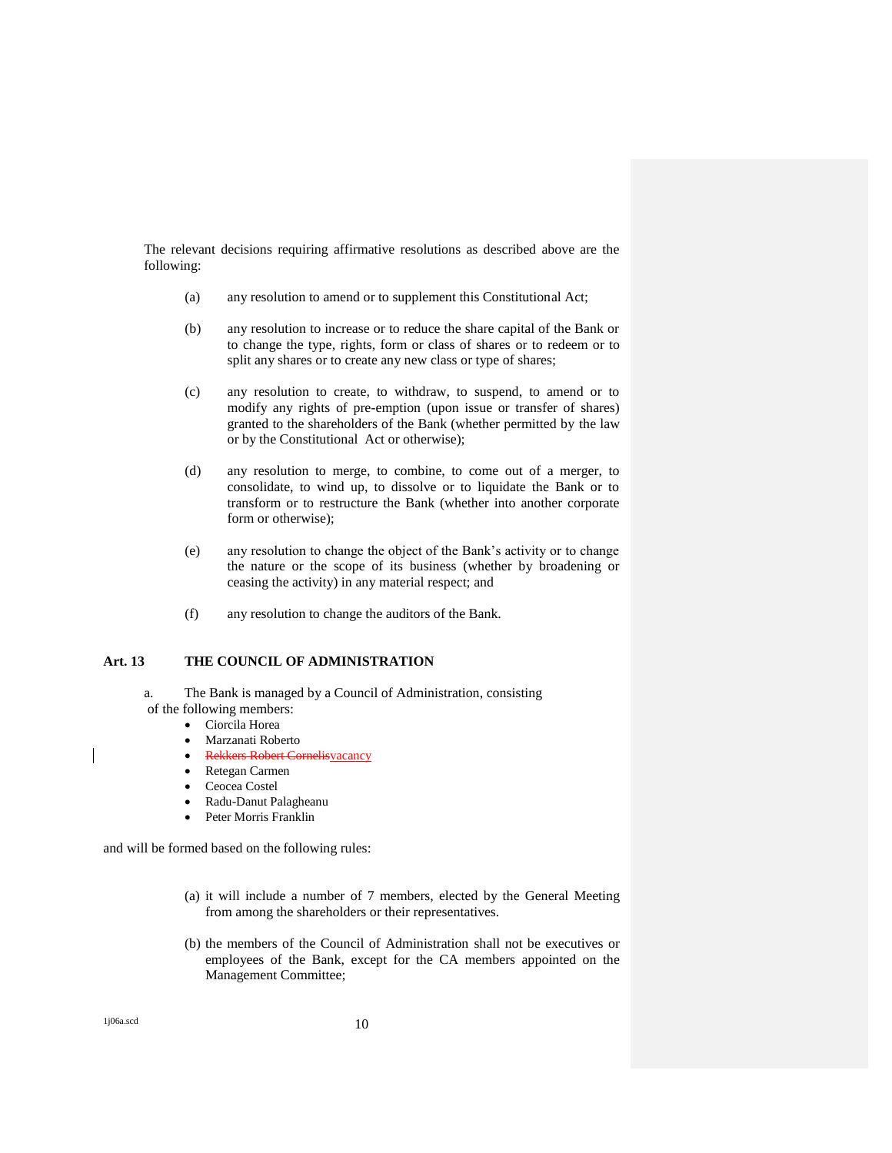The relevant decisions requiring affirmative resolutions as described above are the following:

- (a) any resolution to amend or to supplement this Constitutional Act;
- (b) any resolution to increase or to reduce the share capital of the Bank or to change the type, rights, form or class of shares or to redeem or to split any shares or to create any new class or type of shares;
- (c) any resolution to create, to withdraw, to suspend, to amend or to modify any rights of pre-emption (upon issue or transfer of shares) granted to the shareholders of the Bank (whether permitted by the law or by the Constitutional Act or otherwise);
- (d) any resolution to merge, to combine, to come out of a merger, to consolidate, to wind up, to dissolve or to liquidate the Bank or to transform or to restructure the Bank (whether into another corporate form or otherwise);
- (e) any resolution to change the object of the Bank's activity or to change the nature or the scope of its business (whether by broadening or ceasing the activity) in any material respect; and
- (f) any resolution to change the auditors of the Bank.

### **Art. 13 THE COUNCIL OF ADMINISTRATION**

a. The Bank is managed by a Council of Administration, consisting of the following members:

- Ciorcila Horea
- Marzanati Roberto
- Rekkers Robert Cornelisvacancy
- Retegan Carmen
- Ceocea Costel
- Radu-Danut Palagheanu
- Peter Morris Franklin

and will be formed based on the following rules:

- (a) it will include a number of 7 members, elected by the General Meeting from among the shareholders or their representatives.
- (b) the members of the Council of Administration shall not be executives or employees of the Bank, except for the CA members appointed on the Management Committee;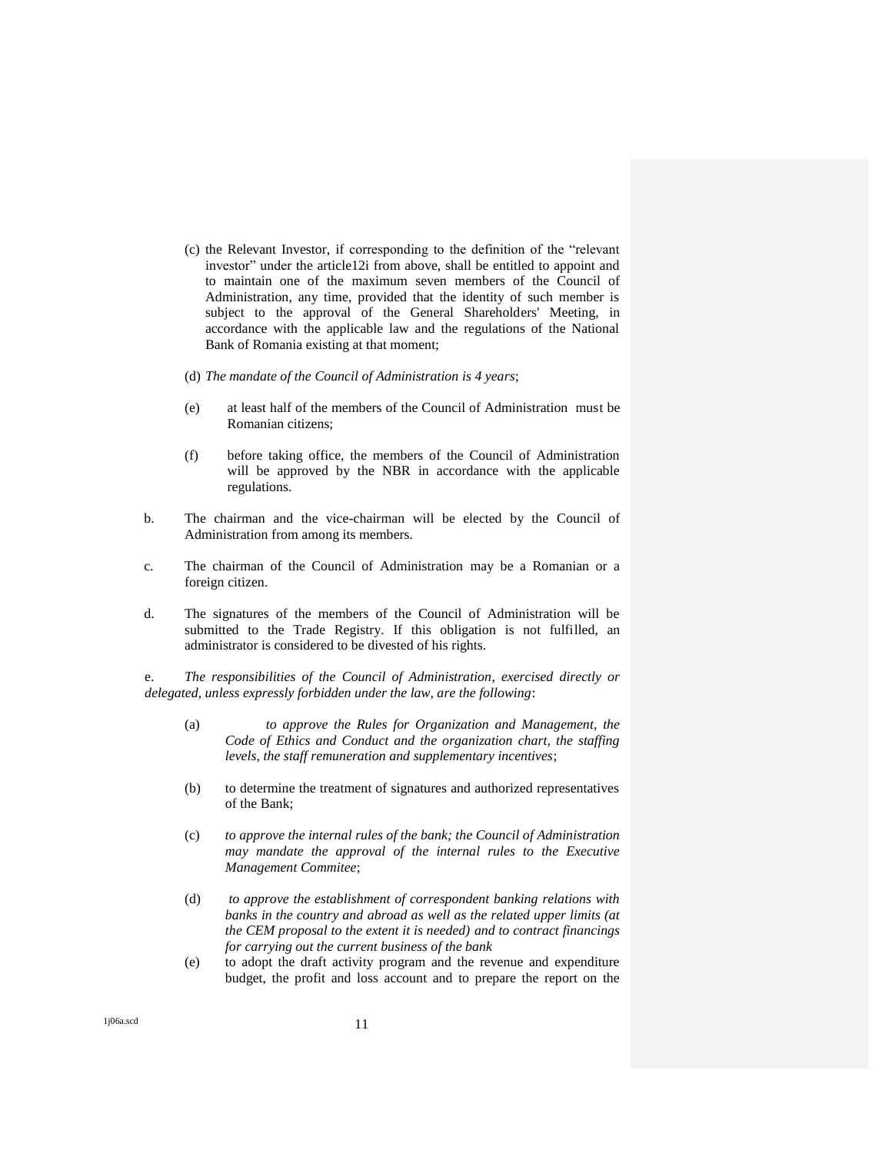- (c) the Relevant Investor, if corresponding to the definition of the "relevant investor" under the article12i from above, shall be entitled to appoint and to maintain one of the maximum seven members of the Council of Administration, any time, provided that the identity of such member is subject to the approval of the General Shareholders' Meeting, in accordance with the applicable law and the regulations of the National Bank of Romania existing at that moment;
- (d) *The mandate of the Council of Administration is 4 years*;
- (e) at least half of the members of the Council of Administration must be Romanian citizens;
- (f) before taking office, the members of the Council of Administration will be approved by the NBR in accordance with the applicable regulations.
- b. The chairman and the vice-chairman will be elected by the Council of Administration from among its members.
- c. The chairman of the Council of Administration may be a Romanian or a foreign citizen.
- d. The signatures of the members of the Council of Administration will be submitted to the Trade Registry. If this obligation is not fulfilled, an administrator is considered to be divested of his rights.

e. *The responsibilities of the Council of Administration, exercised directly or delegated, unless expressly forbidden under the law, are the following*:

- (a) *to approve the Rules for Organization and Management, the Code of Ethics and Conduct and the organization chart, the staffing levels, the staff remuneration and supplementary incentives*;
- (b) to determine the treatment of signatures and authorized representatives of the Bank;
- (c) *to approve the internal rules of the bank; the Council of Administration may mandate the approval of the internal rules to the Executive Management Commitee*;
- (d) *to approve the establishment of correspondent banking relations with banks in the country and abroad as well as the related upper limits (at the CEM proposal to the extent it is needed) and to contract financings for carrying out the current business of the bank*
- (e) to adopt the draft activity program and the revenue and expenditure budget, the profit and loss account and to prepare the report on the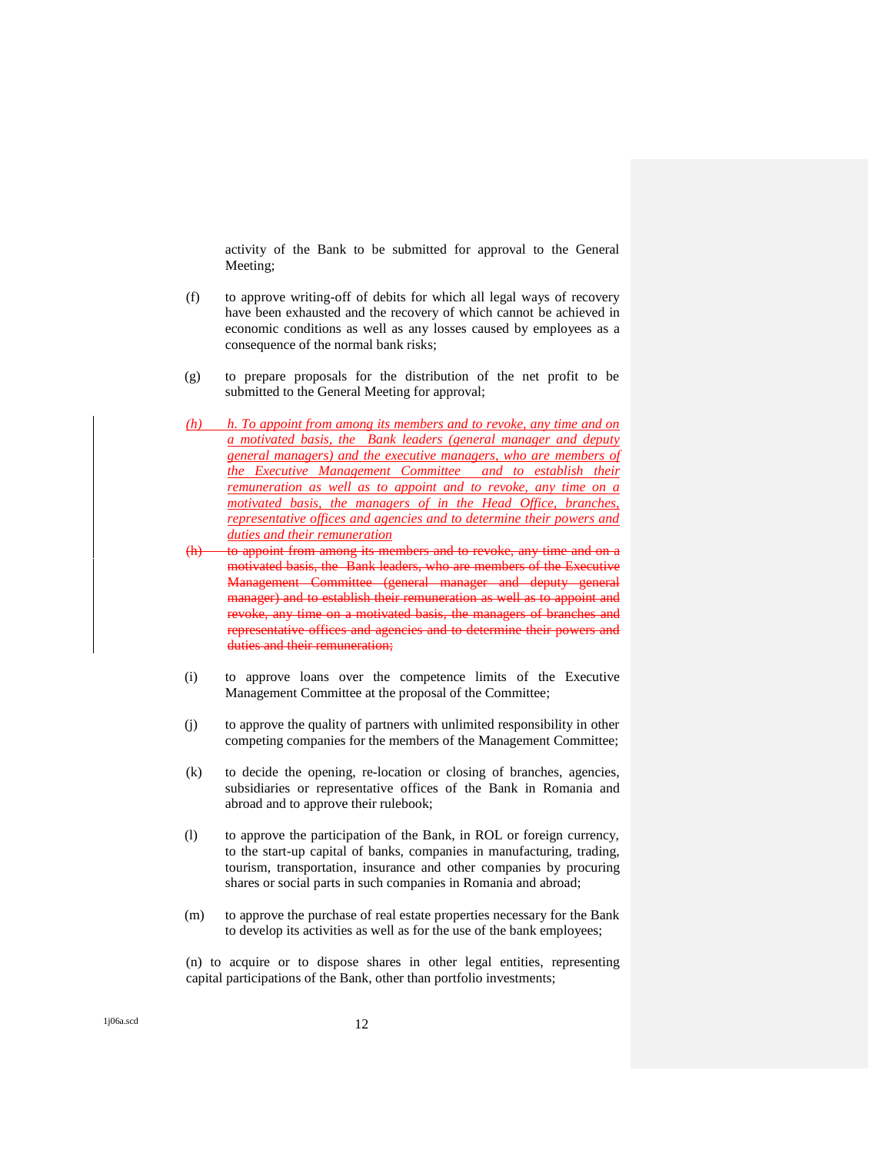activity of the Bank to be submitted for approval to the General Meeting;

- (f) to approve writing-off of debits for which all legal ways of recovery have been exhausted and the recovery of which cannot be achieved in economic conditions as well as any losses caused by employees as a consequence of the normal bank risks;
- (g) to prepare proposals for the distribution of the net profit to be submitted to the General Meeting for approval;
- *(h) h. To appoint from among its members and to revoke, any time and on a motivated basis, the Bank leaders (general manager and deputy general managers) and the executive managers, who are members of the Executive Management Committee and to establish their remuneration as well as to appoint and to revoke, any time on a motivated basis, the managers of in the Head Office, branches, representative offices and agencies and to determine their powers and duties and their remuneration*
- to appoint from among its members and to revoke, any time and on a motivated basis, the Bank leaders, who are members of the Executive Management Committee (general manager and deputy general manager) and to establish their remuneration as well as to appoint and revoke, any time on a motivated basis, the managers of branches and representative offices and agencies and to determine their powers and duties and their remuneration;
- (i) to approve loans over the competence limits of the Executive Management Committee at the proposal of the Committee;
- (j) to approve the quality of partners with unlimited responsibility in other competing companies for the members of the Management Committee;
- (k) to decide the opening, re-location or closing of branches, agencies, subsidiaries or representative offices of the Bank in Romania and abroad and to approve their rulebook;
- (l) to approve the participation of the Bank, in ROL or foreign currency, to the start-up capital of banks, companies in manufacturing, trading, tourism, transportation, insurance and other companies by procuring shares or social parts in such companies in Romania and abroad;
- (m) to approve the purchase of real estate properties necessary for the Bank to develop its activities as well as for the use of the bank employees;

(n) to acquire or to dispose shares in other legal entities, representing capital participations of the Bank, other than portfolio investments;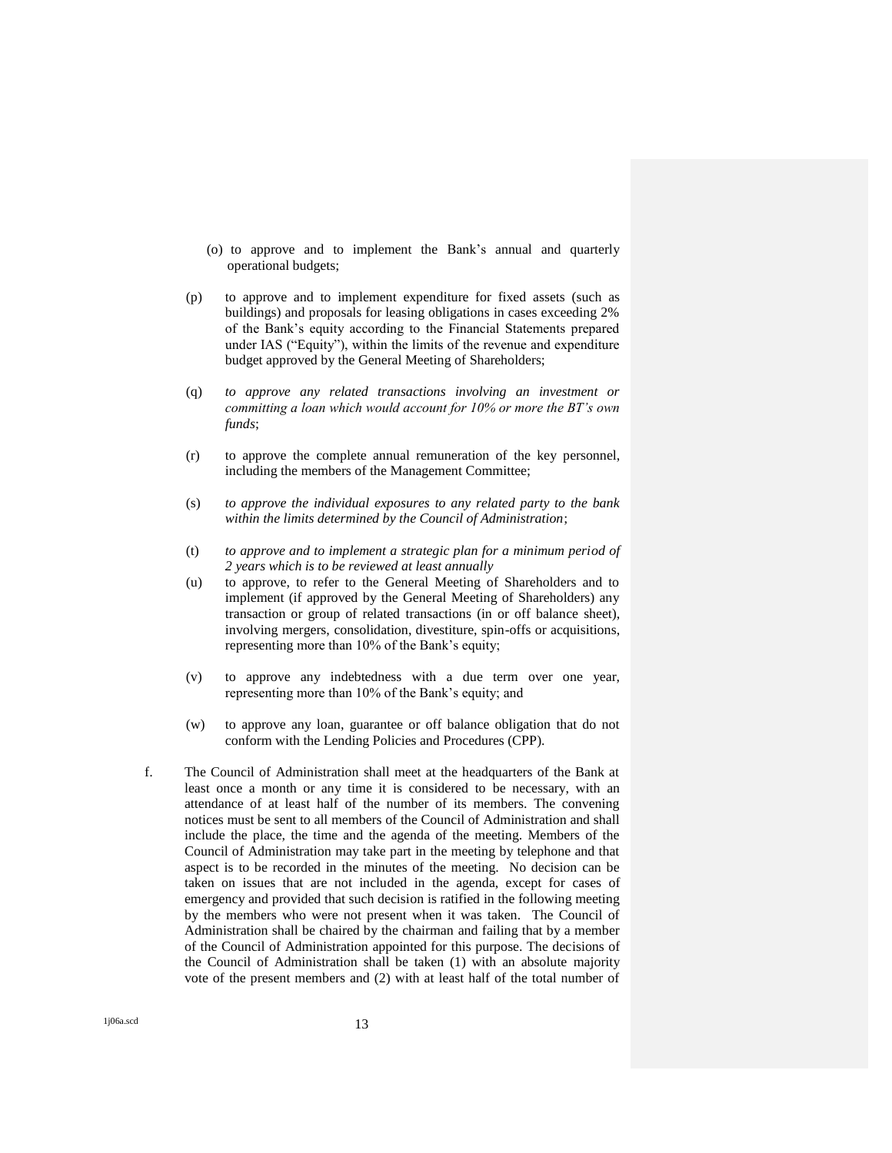- (o) to approve and to implement the Bank's annual and quarterly operational budgets;
- (p) to approve and to implement expenditure for fixed assets (such as buildings) and proposals for leasing obligations in cases exceeding 2% of the Bank's equity according to the Financial Statements prepared under IAS ("Equity"), within the limits of the revenue and expenditure budget approved by the General Meeting of Shareholders;
- (q) *to approve any related transactions involving an investment or committing a loan which would account for 10% or more the BT's own funds*;
- (r) to approve the complete annual remuneration of the key personnel, including the members of the Management Committee;
- (s) *to approve the individual exposures to any related party to the bank within the limits determined by the Council of Administration*;
- (t) *to approve and to implement a strategic plan for a minimum period of 2 years which is to be reviewed at least annually*
- (u) to approve, to refer to the General Meeting of Shareholders and to implement (if approved by the General Meeting of Shareholders) any transaction or group of related transactions (in or off balance sheet), involving mergers, consolidation, divestiture, spin-offs or acquisitions, representing more than 10% of the Bank's equity;
- (v) to approve any indebtedness with a due term over one year, representing more than 10% of the Bank's equity; and
- (w) to approve any loan, guarantee or off balance obligation that do not conform with the Lending Policies and Procedures (CPP).
- f. The Council of Administration shall meet at the headquarters of the Bank at least once a month or any time it is considered to be necessary, with an attendance of at least half of the number of its members. The convening notices must be sent to all members of the Council of Administration and shall include the place, the time and the agenda of the meeting. Members of the Council of Administration may take part in the meeting by telephone and that aspect is to be recorded in the minutes of the meeting. No decision can be taken on issues that are not included in the agenda, except for cases of emergency and provided that such decision is ratified in the following meeting by the members who were not present when it was taken. The Council of Administration shall be chaired by the chairman and failing that by a member of the Council of Administration appointed for this purpose. The decisions of the Council of Administration shall be taken (1) with an absolute majority vote of the present members and (2) with at least half of the total number of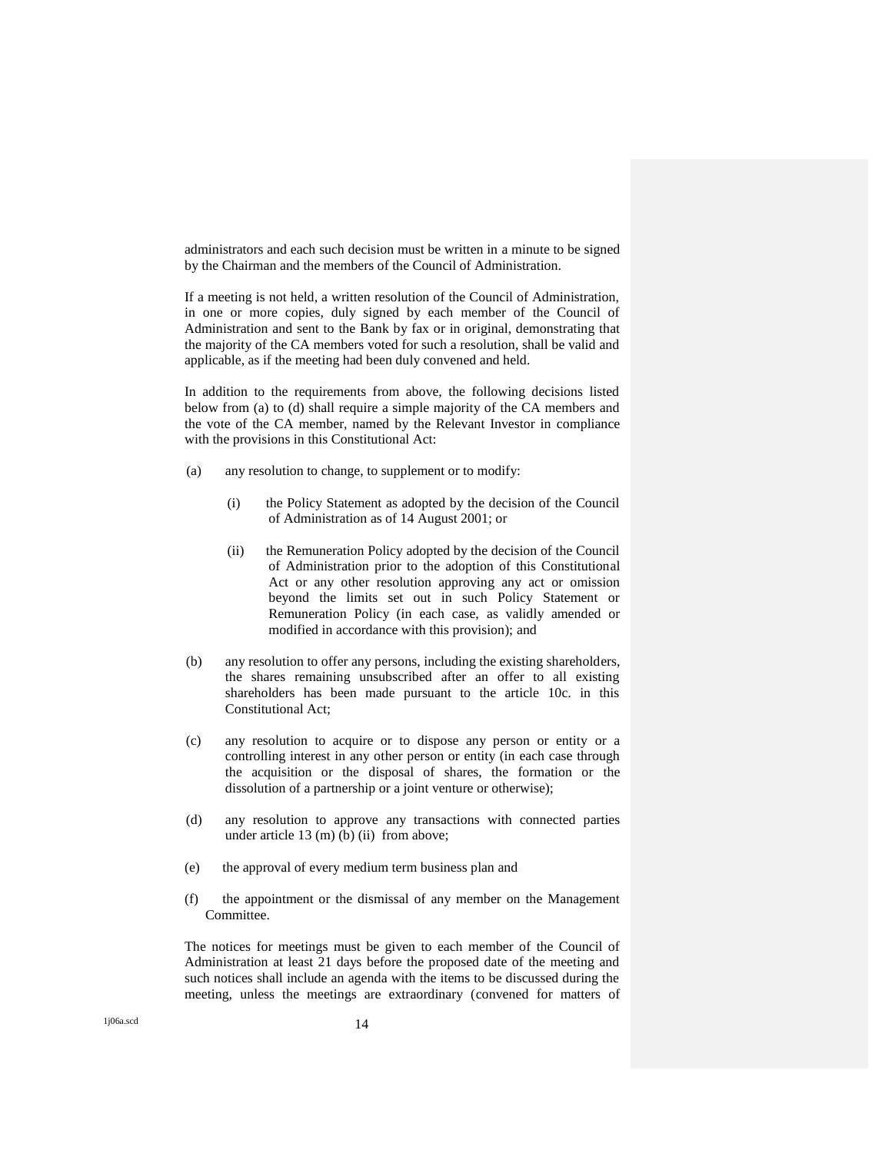administrators and each such decision must be written in a minute to be signed by the Chairman and the members of the Council of Administration.

If a meeting is not held, a written resolution of the Council of Administration, in one or more copies, duly signed by each member of the Council of Administration and sent to the Bank by fax or in original, demonstrating that the majority of the CA members voted for such a resolution, shall be valid and applicable, as if the meeting had been duly convened and held.

In addition to the requirements from above, the following decisions listed below from (a) to (d) shall require a simple majority of the CA members and the vote of the CA member, named by the Relevant Investor in compliance with the provisions in this Constitutional Act:

- (a) any resolution to change, to supplement or to modify:
	- (i) the Policy Statement as adopted by the decision of the Council of Administration as of 14 August 2001; or
	- (ii) the Remuneration Policy adopted by the decision of the Council of Administration prior to the adoption of this Constitutional Act or any other resolution approving any act or omission beyond the limits set out in such Policy Statement or Remuneration Policy (in each case, as validly amended or modified in accordance with this provision); and
- (b) any resolution to offer any persons, including the existing shareholders, the shares remaining unsubscribed after an offer to all existing shareholders has been made pursuant to the article 10c. in this Constitutional Act<sup>;</sup>
- (c) any resolution to acquire or to dispose any person or entity or a controlling interest in any other person or entity (in each case through the acquisition or the disposal of shares, the formation or the dissolution of a partnership or a joint venture or otherwise);
- (d) any resolution to approve any transactions with connected parties under article 13 (m) (b) (ii) from above;
- (e) the approval of every medium term business plan and
- (f) the appointment or the dismissal of any member on the Management Committee.

The notices for meetings must be given to each member of the Council of Administration at least 21 days before the proposed date of the meeting and such notices shall include an agenda with the items to be discussed during the meeting, unless the meetings are extraordinary (convened for matters of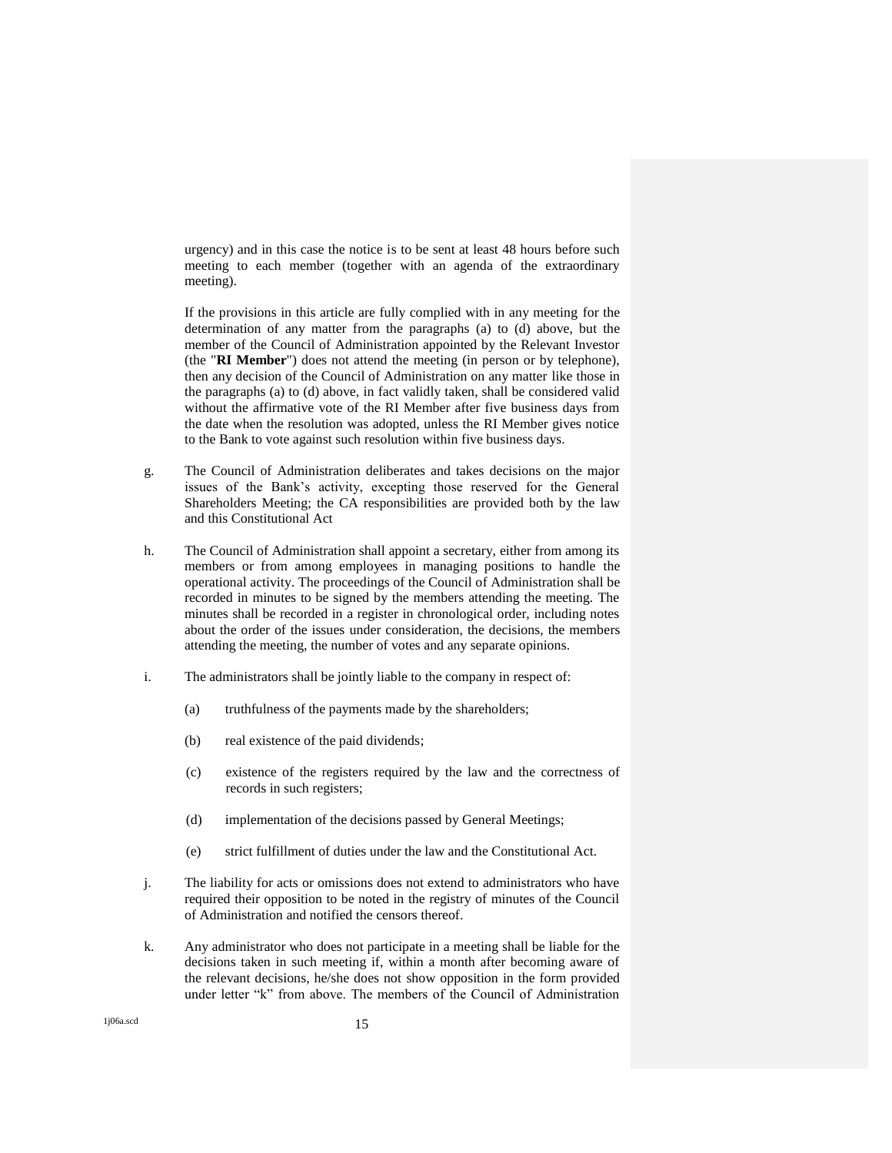urgency) and in this case the notice is to be sent at least 48 hours before such meeting to each member (together with an agenda of the extraordinary meeting).

If the provisions in this article are fully complied with in any meeting for the determination of any matter from the paragraphs (a) to (d) above, but the member of the Council of Administration appointed by the Relevant Investor (the "**RI Member**") does not attend the meeting (in person or by telephone), then any decision of the Council of Administration on any matter like those in the paragraphs (a) to (d) above, in fact validly taken, shall be considered valid without the affirmative vote of the RI Member after five business days from the date when the resolution was adopted, unless the RI Member gives notice to the Bank to vote against such resolution within five business days.

- g. The Council of Administration deliberates and takes decisions on the major issues of the Bank's activity, excepting those reserved for the General Shareholders Meeting; the CA responsibilities are provided both by the law and this Constitutional Act
- h. The Council of Administration shall appoint a secretary, either from among its members or from among employees in managing positions to handle the operational activity. The proceedings of the Council of Administration shall be recorded in minutes to be signed by the members attending the meeting. The minutes shall be recorded in a register in chronological order, including notes about the order of the issues under consideration, the decisions, the members attending the meeting, the number of votes and any separate opinions.
- i. The administrators shall be jointly liable to the company in respect of:
	- (a) truthfulness of the payments made by the shareholders;
	- (b) real existence of the paid dividends;
	- (c) existence of the registers required by the law and the correctness of records in such registers;
	- (d) implementation of the decisions passed by General Meetings;
	- (e) strict fulfillment of duties under the law and the Constitutional Act.
- j. The liability for acts or omissions does not extend to administrators who have required their opposition to be noted in the registry of minutes of the Council of Administration and notified the censors thereof.
- k. Any administrator who does not participate in a meeting shall be liable for the decisions taken in such meeting if, within a month after becoming aware of the relevant decisions, he/she does not show opposition in the form provided under letter "k" from above. The members of the Council of Administration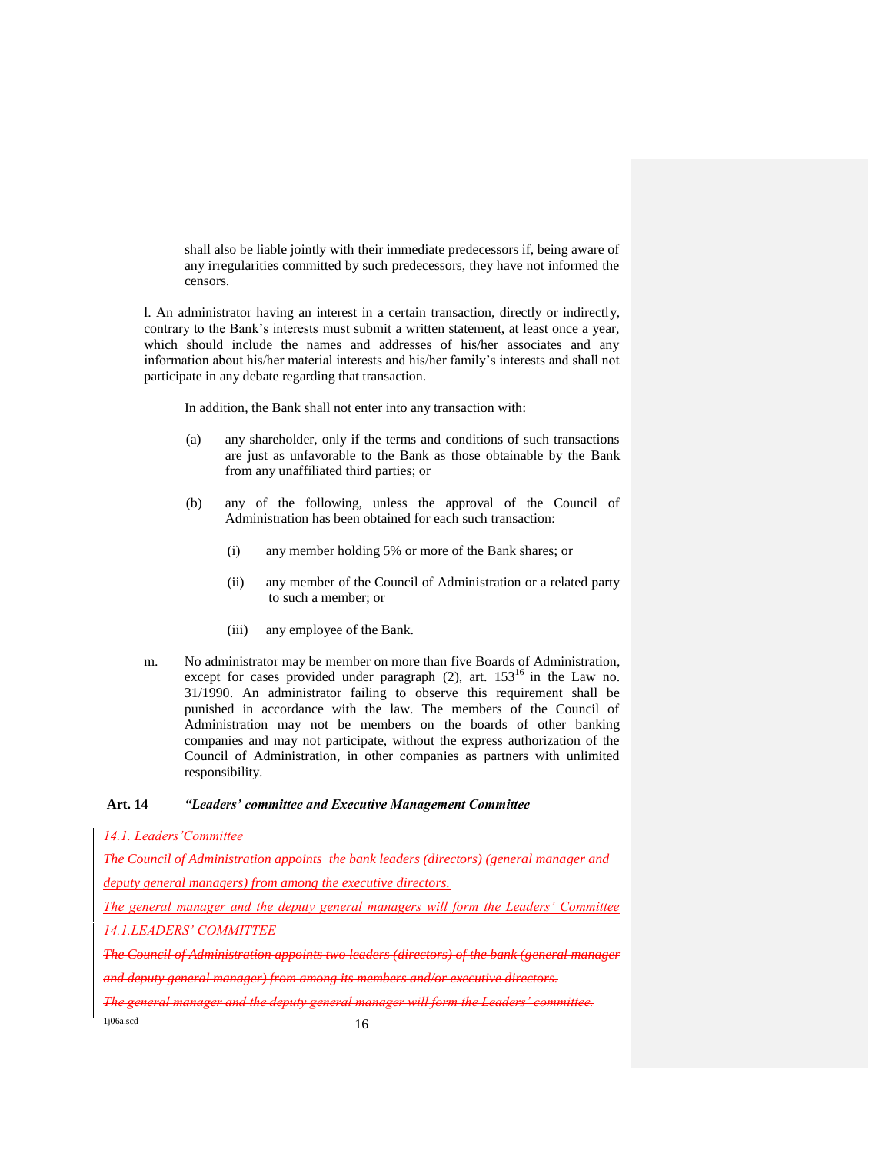shall also be liable jointly with their immediate predecessors if, being aware of any irregularities committed by such predecessors, they have not informed the censors.

l. An administrator having an interest in a certain transaction, directly or indirectly, contrary to the Bank's interests must submit a written statement, at least once a year, which should include the names and addresses of his/her associates and any information about his/her material interests and his/her family's interests and shall not participate in any debate regarding that transaction.

In addition, the Bank shall not enter into any transaction with:

- (a) any shareholder, only if the terms and conditions of such transactions are just as unfavorable to the Bank as those obtainable by the Bank from any unaffiliated third parties; or
- (b) any of the following, unless the approval of the Council of Administration has been obtained for each such transaction:
	- (i) any member holding 5% or more of the Bank shares; or
	- (ii) any member of the Council of Administration or a related party to such a member; or
	- (iii) any employee of the Bank.
- m. No administrator may be member on more than five Boards of Administration, except for cases provided under paragraph  $(2)$ , art.  $153^{16}$  in the Law no. 31/1990. An administrator failing to observe this requirement shall be punished in accordance with the law. The members of the Council of Administration may not be members on the boards of other banking companies and may not participate, without the express authorization of the Council of Administration, in other companies as partners with unlimited responsibility.

#### **Art. 14** *"Leaders' committee and Executive Management Committee*

*14.1. Leaders'Committee* 

*The Council of Administration appoints the bank leaders (directors) (general manager and deputy general managers) from among the executive directors.* 

*The general manager and the deputy general managers will form the Leaders' Committee 14.1.LEADERS' COMMITTEE*

*The Council of Administration appoints two leaders (directors) of the bank (general manager and deputy general manager) from among its members and/or executive directors.* 

 $1j06a.scd$   $16$ *The general manager and the deputy general manager will form the Leaders' committee.*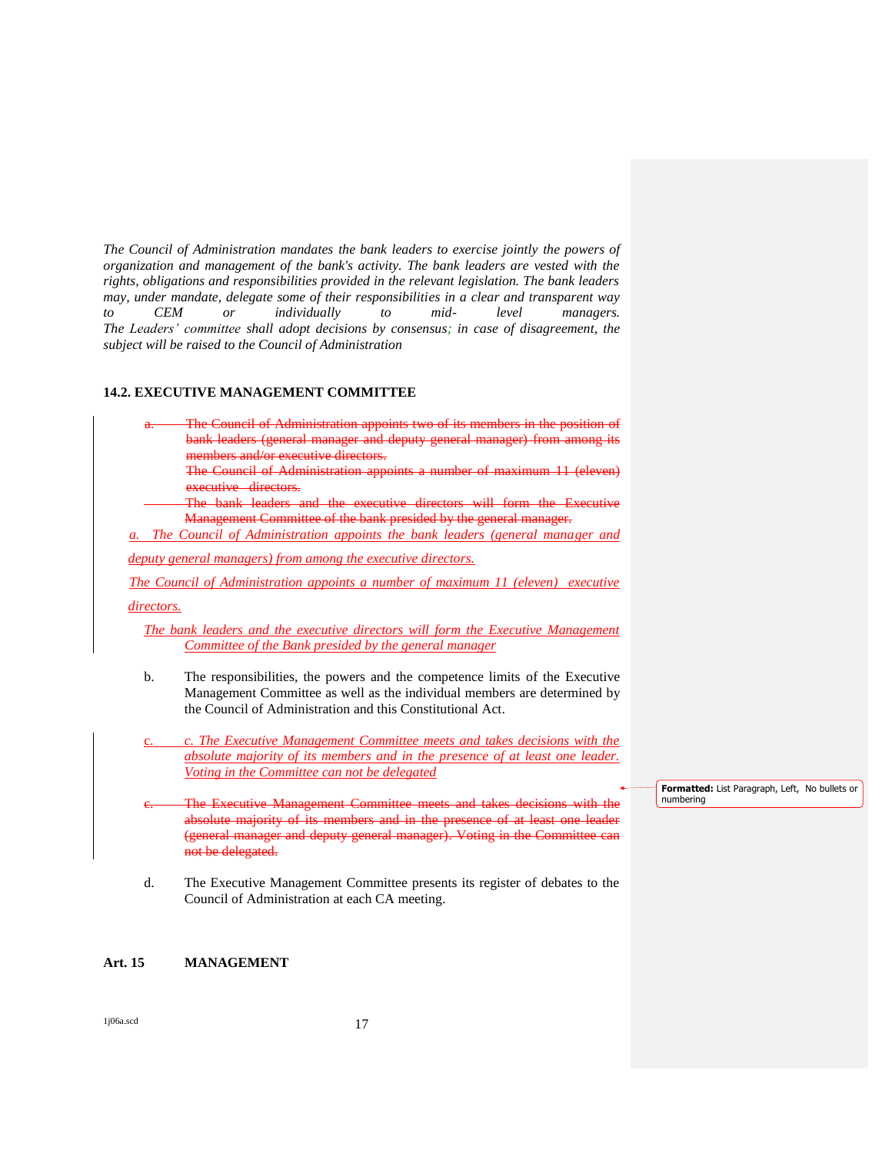*The Council of Administration mandates the bank leaders to exercise jointly the powers of organization and management of the bank's activity. The bank leaders are vested with the rights, obligations and responsibilities provided in the relevant legislation. The bank leaders may, under mandate, delegate some of their responsibilities in a clear and transparent way to CEM or individually to mid- level managers. The Leaders' committee shall adopt decisions by consensus; in case of disagreement, the subject will be raised to the Council of Administration*

### **14.2. EXECUTIVE MANAGEMENT COMMITTEE**

| <b>The Council of Administration appoints two of its members in the position of</b> |  |  |  |
|-------------------------------------------------------------------------------------|--|--|--|
|                                                                                     |  |  |  |
| bank leaders (general manager and deputy general manager) from among its            |  |  |  |
|                                                                                     |  |  |  |
| members and/or executive directors.                                                 |  |  |  |

The Council of Administration appoints a number of maximum 11 (eleven) executive directors.

 The bank leaders and the executive directors will form the Executive Management Committee of the bank presided by the general manager.

*The Council of Administration appoints the bank leaders (general manager and* 

*deputy general managers) from among the executive directors.* 

*The Council of Administration appoints a number of maximum 11 (eleven) executive* 

*directors.*

*The bank leaders and the executive directors will form the Executive Management Committee of the Bank presided by the general manager*

- b. The responsibilities, the powers and the competence limits of the Executive Management Committee as well as the individual members are determined by the Council of Administration and this Constitutional Act.
- c. *c. The Executive Management Committee meets and takes decisions with the absolute majority of its members and in the presence of at least one leader. Voting in the Committee can not be delegated*
- The Executive Management Committee meets and takes absolute majority of its members and in the presence of at least one leader (general manager and deputy general manager). Voting in the Committee can not be delegated.
- d. The Executive Management Committee presents its register of debates to the Council of Administration at each CA meeting.

# **Art. 15 MANAGEMENT**

1j06a.scd 17

**Formatted:** List Paragraph, Left, No bullets or numbering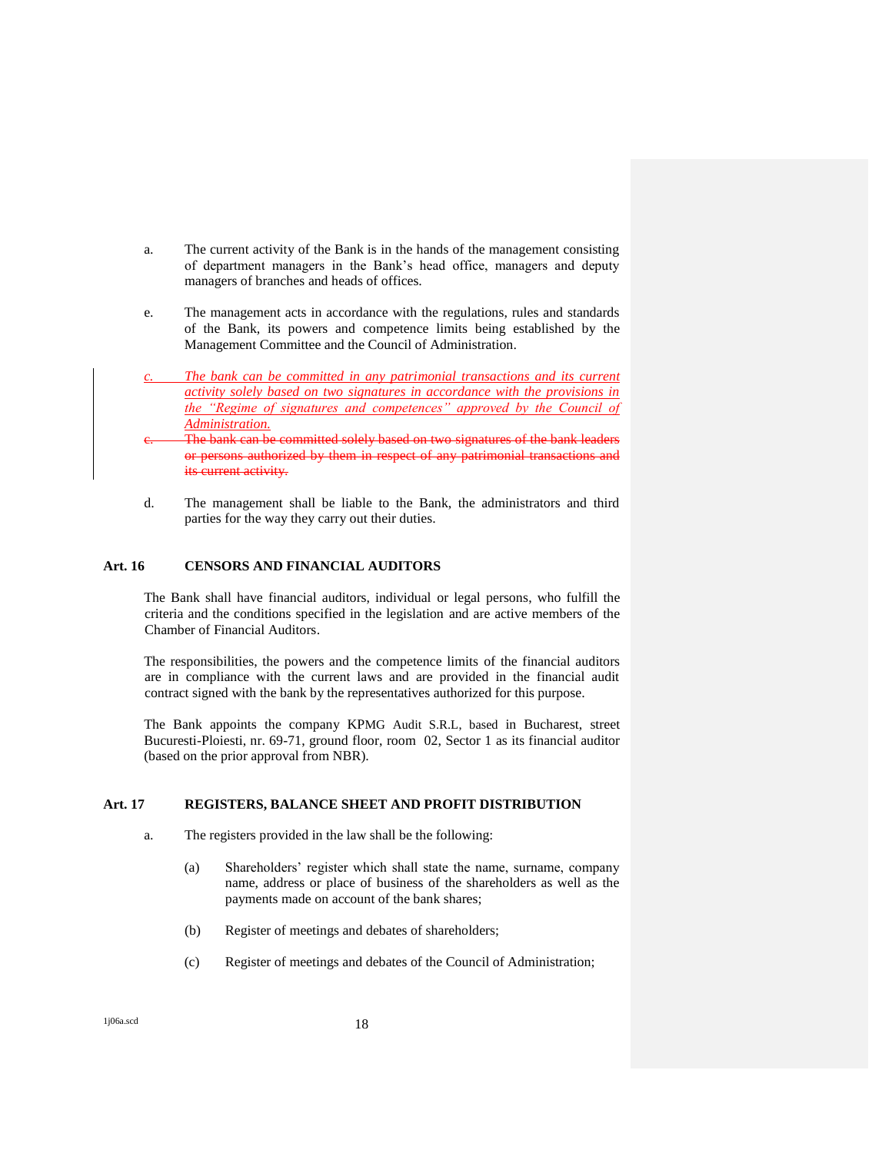- a. The current activity of the Bank is in the hands of the management consisting of department managers in the Bank's head office, managers and deputy managers of branches and heads of offices.
- e. The management acts in accordance with the regulations, rules and standards of the Bank, its powers and competence limits being established by the Management Committee and the Council of Administration.
- *c. The bank can be committed in any patrimonial transactions and its current activity solely based on two signatures in accordance with the provisions in the "Regime of signatures and competences" approved by the Council of Administration.*
- The bank can be committed solely based on two signatures of the bank leaders or persons authorized by them in respect of any patrimonial transactions and its current activity.
- d. The management shall be liable to the Bank, the administrators and third parties for the way they carry out their duties.

#### **Art. 16 CENSORS AND FINANCIAL AUDITORS**

The Bank shall have financial auditors, individual or legal persons, who fulfill the criteria and the conditions specified in the legislation and are active members of the Chamber of Financial Auditors.

The responsibilities, the powers and the competence limits of the financial auditors are in compliance with the current laws and are provided in the financial audit contract signed with the bank by the representatives authorized for this purpose.

The Bank appoints the company KPMG Audit S.R.L, based in Bucharest, street Bucuresti-Ploiesti, nr. 69-71, ground floor, room 02, Sector 1 as its financial auditor (based on the prior approval from NBR).

#### **Art. 17 REGISTERS, BALANCE SHEET AND PROFIT DISTRIBUTION**

- a. The registers provided in the law shall be the following:
	- (a) Shareholders' register which shall state the name, surname, company name, address or place of business of the shareholders as well as the payments made on account of the bank shares;
	- (b) Register of meetings and debates of shareholders;
	- (c) Register of meetings and debates of the Council of Administration;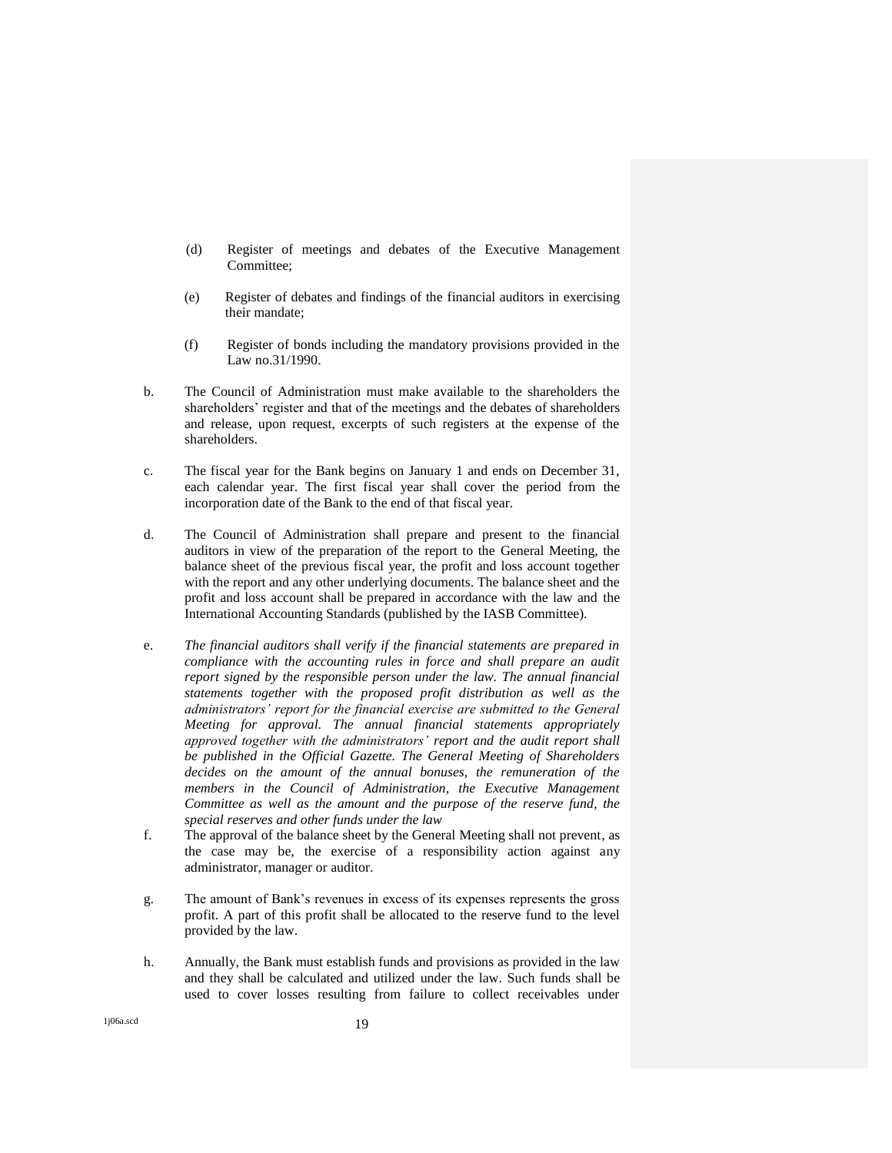- (d) Register of meetings and debates of the Executive Management Committee;
- (e) Register of debates and findings of the financial auditors in exercising their mandate;
- (f) Register of bonds including the mandatory provisions provided in the Law no.31/1990.
- b. The Council of Administration must make available to the shareholders the shareholders' register and that of the meetings and the debates of shareholders and release, upon request, excerpts of such registers at the expense of the shareholders.
- c. The fiscal year for the Bank begins on January 1 and ends on December 31, each calendar year. The first fiscal year shall cover the period from the incorporation date of the Bank to the end of that fiscal year.
- d. The Council of Administration shall prepare and present to the financial auditors in view of the preparation of the report to the General Meeting, the balance sheet of the previous fiscal year, the profit and loss account together with the report and any other underlying documents. The balance sheet and the profit and loss account shall be prepared in accordance with the law and the International Accounting Standards (published by the IASB Committee).
- e. *The financial auditors shall verify if the financial statements are prepared in compliance with the accounting rules in force and shall prepare an audit report signed by the responsible person under the law. The annual financial statements together with the proposed profit distribution as well as the administrators' report for the financial exercise are submitted to the General Meeting for approval. The annual financial statements appropriately approved together with the administrators' report and the audit report shall be published in the Official Gazette. The General Meeting of Shareholders decides on the amount of the annual bonuses, the remuneration of the members in the Council of Administration, the Executive Management Committee as well as the amount and the purpose of the reserve fund, the special reserves and other funds under the law*
- f. The approval of the balance sheet by the General Meeting shall not prevent, as the case may be, the exercise of a responsibility action against any administrator, manager or auditor.
- g. The amount of Bank's revenues in excess of its expenses represents the gross profit. A part of this profit shall be allocated to the reserve fund to the level provided by the law.
- h. Annually, the Bank must establish funds and provisions as provided in the law and they shall be calculated and utilized under the law. Such funds shall be used to cover losses resulting from failure to collect receivables under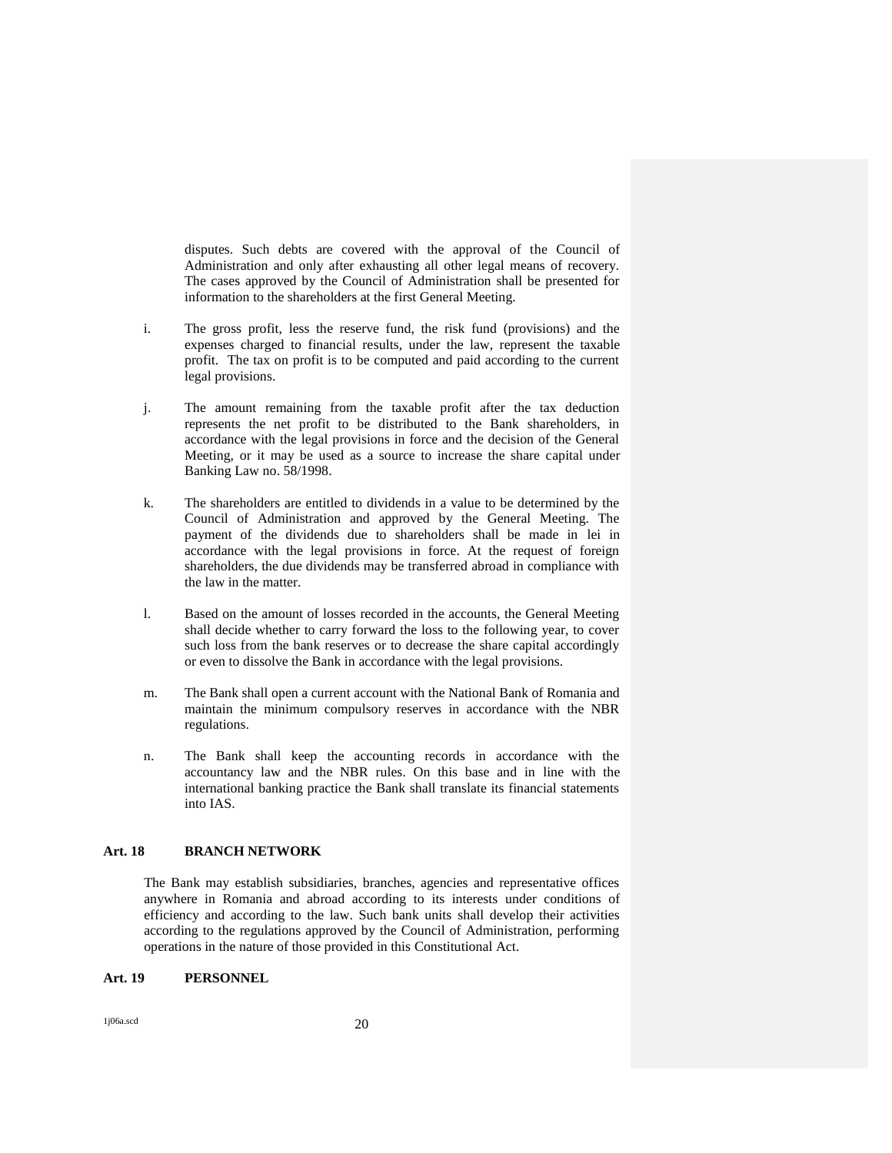disputes. Such debts are covered with the approval of the Council of Administration and only after exhausting all other legal means of recovery. The cases approved by the Council of Administration shall be presented for information to the shareholders at the first General Meeting.

- i. The gross profit, less the reserve fund, the risk fund (provisions) and the expenses charged to financial results, under the law, represent the taxable profit. The tax on profit is to be computed and paid according to the current legal provisions.
- j. The amount remaining from the taxable profit after the tax deduction represents the net profit to be distributed to the Bank shareholders, in accordance with the legal provisions in force and the decision of the General Meeting, or it may be used as a source to increase the share capital under Banking Law no. 58/1998.
- k. The shareholders are entitled to dividends in a value to be determined by the Council of Administration and approved by the General Meeting. The payment of the dividends due to shareholders shall be made in lei in accordance with the legal provisions in force. At the request of foreign shareholders, the due dividends may be transferred abroad in compliance with the law in the matter.
- l. Based on the amount of losses recorded in the accounts, the General Meeting shall decide whether to carry forward the loss to the following year, to cover such loss from the bank reserves or to decrease the share capital accordingly or even to dissolve the Bank in accordance with the legal provisions.
- m. The Bank shall open a current account with the National Bank of Romania and maintain the minimum compulsory reserves in accordance with the NBR regulations.
- n. The Bank shall keep the accounting records in accordance with the accountancy law and the NBR rules. On this base and in line with the international banking practice the Bank shall translate its financial statements into IAS.

### **Art. 18 BRANCH NETWORK**

The Bank may establish subsidiaries, branches, agencies and representative offices anywhere in Romania and abroad according to its interests under conditions of efficiency and according to the law. Such bank units shall develop their activities according to the regulations approved by the Council of Administration, performing operations in the nature of those provided in this Constitutional Act.

#### **Art. 19 PERSONNEL**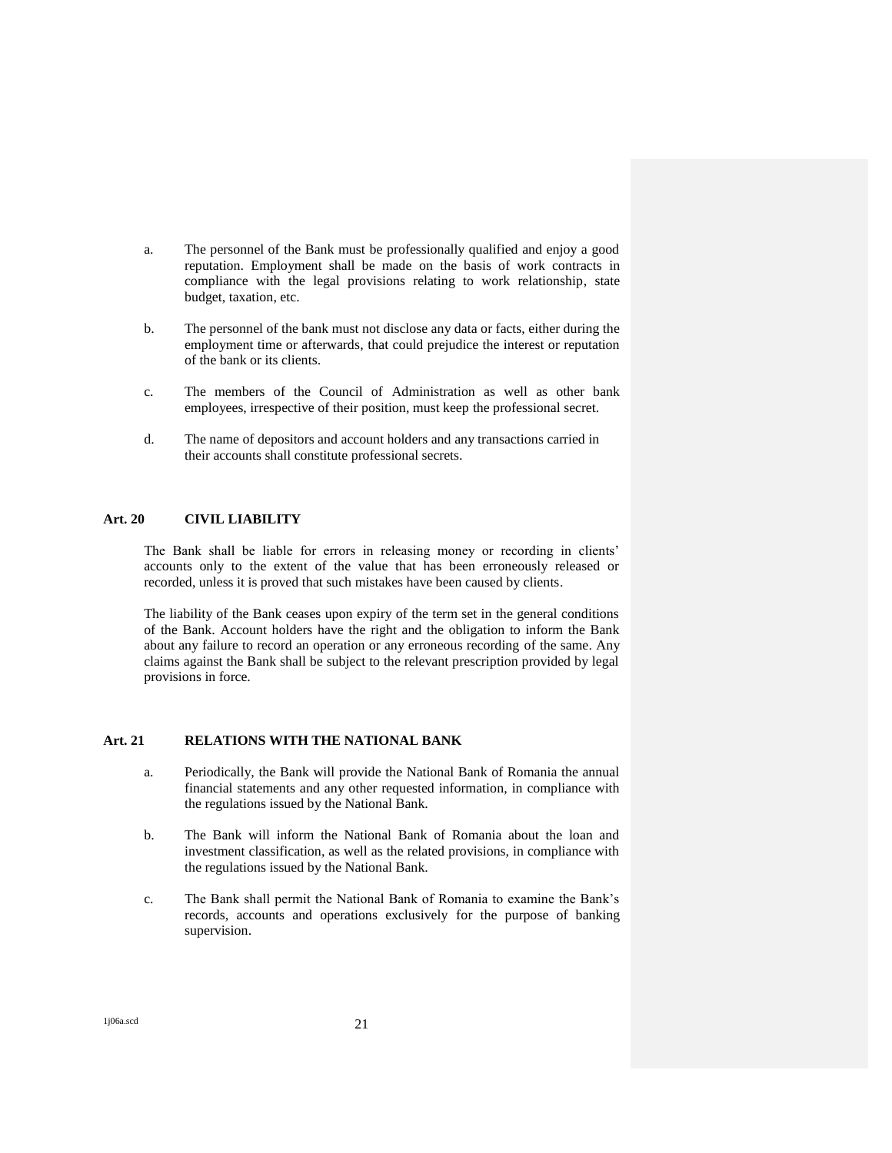- a. The personnel of the Bank must be professionally qualified and enjoy a good reputation. Employment shall be made on the basis of work contracts in compliance with the legal provisions relating to work relationship, state budget, taxation, etc.
- b. The personnel of the bank must not disclose any data or facts, either during the employment time or afterwards, that could prejudice the interest or reputation of the bank or its clients.
- c. The members of the Council of Administration as well as other bank employees, irrespective of their position, must keep the professional secret.
- d. The name of depositors and account holders and any transactions carried in their accounts shall constitute professional secrets.

## **Art. 20 CIVIL LIABILITY**

The Bank shall be liable for errors in releasing money or recording in clients' accounts only to the extent of the value that has been erroneously released or recorded, unless it is proved that such mistakes have been caused by clients.

The liability of the Bank ceases upon expiry of the term set in the general conditions of the Bank. Account holders have the right and the obligation to inform the Bank about any failure to record an operation or any erroneous recording of the same. Any claims against the Bank shall be subject to the relevant prescription provided by legal provisions in force.

### **Art. 21 RELATIONS WITH THE NATIONAL BANK**

- a. Periodically, the Bank will provide the National Bank of Romania the annual financial statements and any other requested information, in compliance with the regulations issued by the National Bank.
- b. The Bank will inform the National Bank of Romania about the loan and investment classification, as well as the related provisions, in compliance with the regulations issued by the National Bank.
- c. The Bank shall permit the National Bank of Romania to examine the Bank's records, accounts and operations exclusively for the purpose of banking supervision.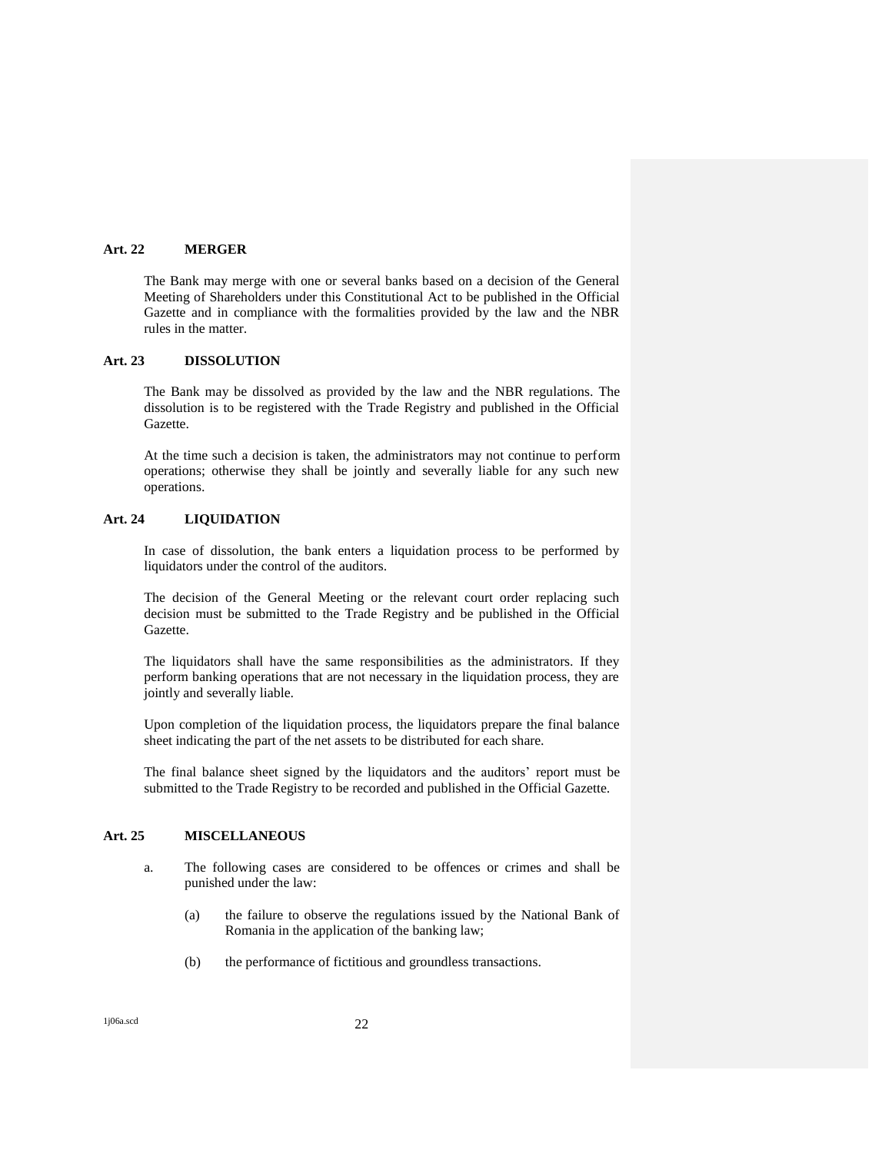#### **Art. 22 MERGER**

The Bank may merge with one or several banks based on a decision of the General Meeting of Shareholders under this Constitutional Act to be published in the Official Gazette and in compliance with the formalities provided by the law and the NBR rules in the matter.

### **Art. 23 DISSOLUTION**

The Bank may be dissolved as provided by the law and the NBR regulations. The dissolution is to be registered with the Trade Registry and published in the Official Gazette.

At the time such a decision is taken, the administrators may not continue to perform operations; otherwise they shall be jointly and severally liable for any such new operations.

## **Art. 24 LIQUIDATION**

In case of dissolution, the bank enters a liquidation process to be performed by liquidators under the control of the auditors.

The decision of the General Meeting or the relevant court order replacing such decision must be submitted to the Trade Registry and be published in the Official Gazette.

The liquidators shall have the same responsibilities as the administrators. If they perform banking operations that are not necessary in the liquidation process, they are jointly and severally liable.

Upon completion of the liquidation process, the liquidators prepare the final balance sheet indicating the part of the net assets to be distributed for each share.

The final balance sheet signed by the liquidators and the auditors' report must be submitted to the Trade Registry to be recorded and published in the Official Gazette.

# **Art. 25 MISCELLANEOUS**

- a. The following cases are considered to be offences or crimes and shall be punished under the law:
	- (a) the failure to observe the regulations issued by the National Bank of Romania in the application of the banking law;
	- (b) the performance of fictitious and groundless transactions.